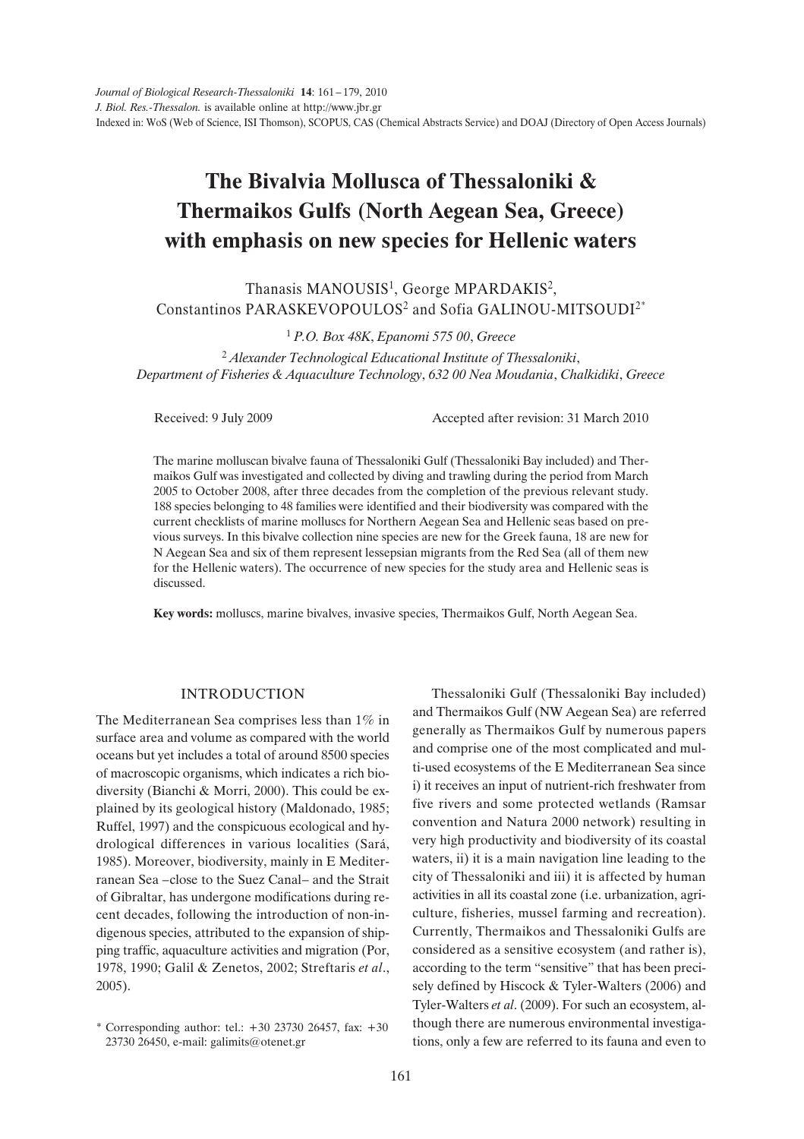# **The Bivalvia Mollusca of Thessaloniki & Thermaikos Gulfs (North Aegean Sea, Greece) with emphasis on new species for Hellenic waters**

Thanasis MANOUSIS<sup>1</sup>, George MPARDAKIS<sup>2</sup>, Constantinos PARASKEVOPOULOS<sup>2</sup> and Sofia GALINOU-MITSOUDI<sup>2\*</sup>

<sup>1</sup> *P.O. Box 48K*, *Epanomi 575 00*, *Greece*

<sup>2</sup> *Alexander Technological Educational Institute of Thessaloniki*, *Department of Fisheries & Aquaculture Technology*, *632 00 Nea Moudania*, *Chalkidiki*, *Greece*

Received: 9 July 2009 Accepted after revision: 31 March 2010

The marine molluscan bivalve fauna of Thessaloniki Gulf (Thessaloniki Bay included) and Thermaikos Gulf was investigated and collected by diving and trawling during the period from March 2005 to October 2008, after three decades from the completion of the previous relevant study. 188 species belonging to 48 families were identified and their biodiversity was compared with the current checklists of marine molluscs for Northern Aegean Sea and Hellenic seas based on previous surveys. In this bivalve collection nine species are new for the Greek fauna, 18 are new for N Aegean Sea and six of them represent lessepsian migrants from the Red Sea (all of them new for the Hellenic waters). The occurrence of new species for the study area and Hellenic seas is discussed.

**Key words:** molluscs, marine bivalves, invasive species, Thermaikos Gulf, North Aegean Sea.

#### INTRODUCTION

The Mediterranean Sea comprises less than 1% in surface area and volume as compared with the world oceans but yet includes a total of around 8500 species of macroscopic organisms, which indicates a rich biodiversity (Bianchi & Morri, 2000). This could be explained by its geological history (Maldonado, 1985; Ruffel, 1997) and the conspicuous ecological and hydrological differences in various localities (Sará, 1985). Moreover, biodiversity, mainly in E Mediterranean Sea –close to the Suez Canal– and the Strait of Gibraltar, has undergone modifications during recent decades, following the introduction of non-indigenous species, attributed to the expansion of shipping traffic, aquaculture activities and migration (Por, 1978, 1990; Galil & Zenetos, 2002; Streftaris *et al*., 2005).

Thessaloniki Gulf (Thessaloniki Bay included) and Thermaikos Gulf (NW Aegean Sea) are referred generally as Thermaikos Gulf by numerous papers and comprise one of the most complicated and multi-used ecosystems of the E Mediterranean Sea since i) it receives an input of nutrient-rich freshwater from five rivers and some protected wetlands (Ramsar convention and Natura 2000 network) resulting in very high productivity and biodiversity of its coastal waters, ii) it is a main navigation line leading to the city of Thessaloniki and iii) it is affected by human activities in all its coastal zone (i.e. urbanization, agriculture, fisheries, mussel farming and recreation). Currently, Thermaikos and Thessaloniki Gulfs are considered as a sensitive ecosystem (and rather is), according to the term "sensitive" that has been precisely defined by Hiscock & Tyler-Walters (2006) and Tyler-Walters *et al*. (2009). For such an ecosystem, although there are numerous environmental investigations, only a few are referred to its fauna and even to

<sup>\*</sup> Corresponding author: tel.: +30 23730 26457, fax: +30 23730 26450, e-mail: galimits@otenet.gr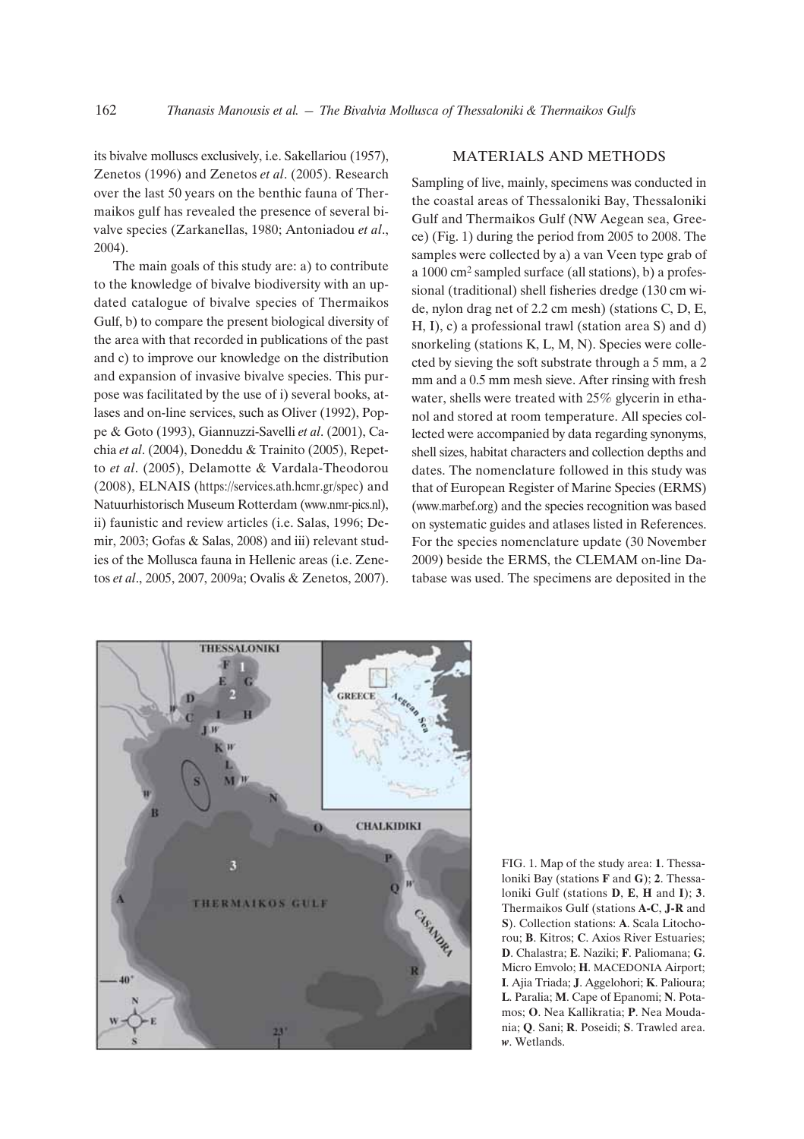its bivalve molluscs exclusively, i.e. Sakellariou (1957), Zenetos (1996) and Zenetos *et al*. (2005). Research over the last 50 years on the benthic fauna of Thermaikos gulf has revealed the presence of several bivalve species (Zarkanellas, 1980; Antoniadou *et al*., 2004).

The main goals of this study are: a) to contribute to the knowledge of bivalve biodiversity with an updated catalogue of bivalve species of Thermaikos Gulf, b) to compare the present biological diversity of the area with that recorded in publications of the past and c) to improve our knowledge on the distribution and expansion of invasive bivalve species. This purpose was facilitated by the use of i) several books, atlases and on-line services, such as Oliver (1992), Poppe & Goto (1993), Giannuzzi-Savelli *et al*. (2001), Cachia *et al*. (2004), Doneddu & Trainito (2005), Repetto *et al*. (2005), Delamotte & Vardala-Theodorou (2008), ELNAIS (https://services.ath.hcmr.gr/spec) and Natuurhistorisch Museum Rotterdam (www.nmr-pics.nl), ii) faunistic and review articles (i.e. Salas, 1996; Demir, 2003; Gofas & Salas, 2008) and iii) relevant studies of the Mollusca fauna in Hellenic areas (i.e. Zenetos *et al*., 2005, 2007, 2009a; Ovalis & Zenetos, 2007).

# MATERIALS AND METHODS

Sampling of live, mainly, specimens was conducted in the coastal areas of Thessaloniki Bay, Thessaloniki Gulf and Thermaikos Gulf (NW Aegean sea, Greece) (Fig. 1) during the period from 2005 to 2008. The samples were collected by a) a van Veen type grab of a 1000 cm2 sampled surface (all stations), b) a professional (traditional) shell fisheries dredge (130 cm wide, nylon drag net of 2.2 cm mesh) (stations C, D, E, H, I), c) a professional trawl (station area S) and d) snorkeling (stations K, L, M, N). Species were collected by sieving the soft substrate through a 5 mm, a 2 mm and a 0.5 mm mesh sieve. After rinsing with fresh water, shells were treated with 25% glycerin in ethanol and stored at room temperature. All species collected were accompanied by data regarding synonyms, shell sizes, habitat characters and collection depths and dates. The nomenclature followed in this study was that of European Register of Marine Species (ERMS) (www.marbef.org) and the species recognition was based on systematic guides and atlases listed in References. For the species nomenclature update (30 November 2009) beside the ERMS, the CLEMAM on-line Database was used. The specimens are deposited in the



FIG. 1. Map of the study area: **1**. Thessaloniki Bay (stations **F** and **G**); **2**. Thessaloniki Gulf (stations **D**, **E**, **H** and **I**); **3**. Thermaikos Gulf (stations **A-C**, **J-R** and **S**). Collection stations: **A**. Scala Litochorou; **B**. Kitros; **C**. Axios River Estuaries; **D**. Chalastra; **E**. Naziki; **F**. Paliomana; **G**. Micro Emvolo; **H**. MACEDONIA Airport; **I**. Ajia Triada; **J**. Aggelohori; **K**. Palioura; **L**. Paralia; **M**. Cape of Epanomi; **N**. Potamos; **O**. Nea Kallikratia; **P**. Nea Moudania; **Q**. Sani; **R**. Poseidi; **S**. Trawled area. *w*. Wetlands.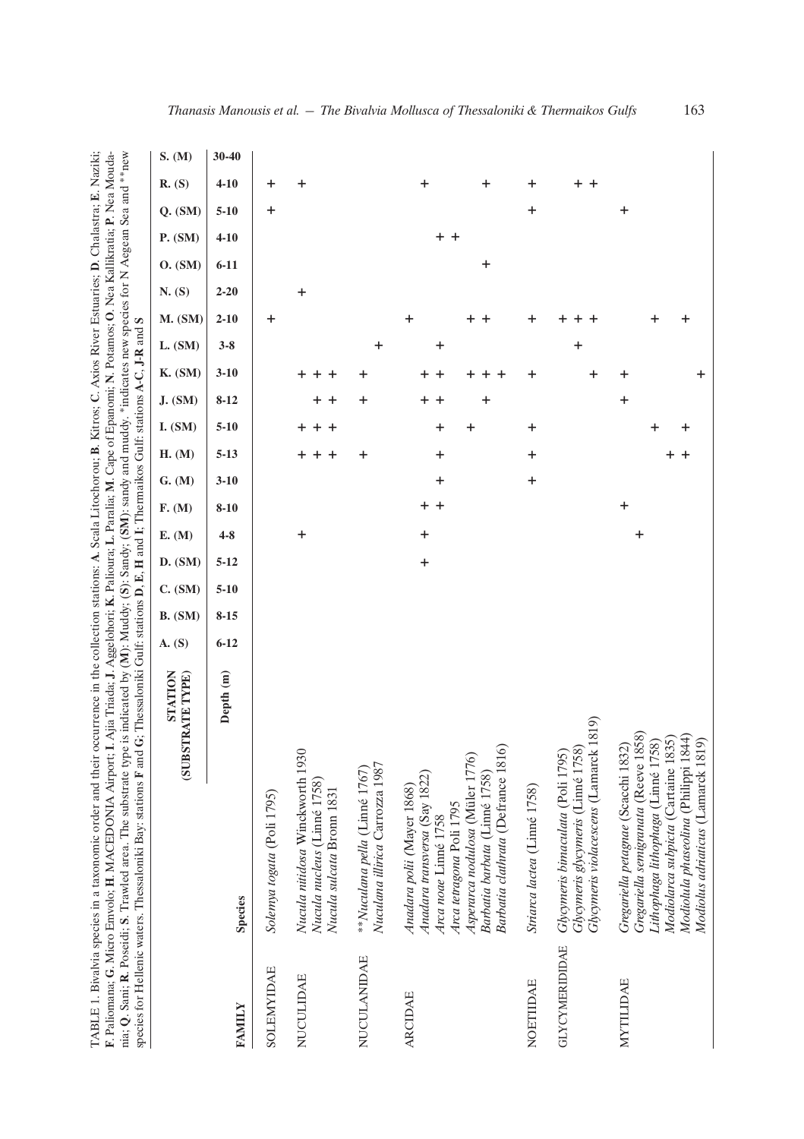TABLE 1. Bivalvia species in a taxonomic order and their occurrence in the collection stations: **A**. Scala Litochorou; **B**. Kitros; **C**. Axios River Estuaries; **D**. Chalastra; **E**. Naziki; **F**. Paliomana; **G**. Micro Emvolo; **H**. MACEDONIA Airport; **I**. Ajia Triada; **J**. Aggelohori; **K**. Palioura; **L**. Paralia; **M**. Cape of Epanomi; **N**. Potamos; **O**. Nea Kallikratia; **P**. Nea Moudania; **Q**. Sani; **R**. Poseidi; **S**. Trawled area. The substrate type is indicated by ( **M**): Muddy; (**S**): Sandy; (**SM**): sandy and muddy. \*indicates new species for N Aegean Sea and \*\*new species for Hellenic waters. Thessaloniki Bay: stations **F** and **G**; Thessaloniki Gulf: stations **D**, **E**, **H** and **I**; Thermaikos Gulf: stations **A**-**C**, **J**-**R** and **S**

|                       | species for Hellenic waters. Thessaloniki Bay: stations F an<br><b>INS)</b>                                                                                                                                                          | d G: Thessaloniki Gulti: stations D, E, H and I; Thermalkos Gulti: stations A-C, J-K and S<br>STATION<br><b>BSTRATE TYPE)</b> | A. (S)   | B. (SM)  | C. (SM)  | E. (M)<br>D. (SM)             | F. (M)    | G. (M)           | H. (M)   | I. (SM) | J. (SM)          | K. (SM)      | L. (SM) | M. (SM) |                          | N. (S)   | O. (SM) | P. (SM)  | $Q.$ (SM) |
|-----------------------|--------------------------------------------------------------------------------------------------------------------------------------------------------------------------------------------------------------------------------------|-------------------------------------------------------------------------------------------------------------------------------|----------|----------|----------|-------------------------------|-----------|------------------|----------|---------|------------------|--------------|---------|---------|--------------------------|----------|---------|----------|-----------|
|                       |                                                                                                                                                                                                                                      |                                                                                                                               |          |          |          |                               |           |                  |          |         |                  |              |         |         |                          |          |         |          |           |
| <b>FAMILY</b>         | <b>Species</b>                                                                                                                                                                                                                       | Depth (m)                                                                                                                     | $6 - 12$ | $8 - 15$ | $5 - 10$ | $4 - 8$<br>$5 - 12$           | $8 - 10$  | $3 - 10$         | $5 - 13$ | $5-10$  | $8-12$           | $3-10$       | $3 - 8$ |         | $2 - 10$                 | $2 - 20$ | $6-11$  | $4 - 10$ | $5 - 10$  |
| <b>SOLEMYIDAE</b>     | Solemya togata (Poli 1795)                                                                                                                                                                                                           |                                                                                                                               |          |          |          |                               |           |                  |          |         |                  |              |         |         | +                        |          |         |          | +         |
| NUCULIDAE             | Nucula nitidosa Winckworth 1930<br>Nucula nucleus (Linné 1758)<br>Nucula sulcata Bronn 1831                                                                                                                                          |                                                                                                                               |          |          |          | $\mathbf +$                   |           |                  | $++$ $+$ | $+ + +$ | + +              | + + +        |         |         |                          | +        |         |          |           |
| NUCULANIDAE           | Nuculana illirica Carrozza 1987<br>**Nuculana pella (Linné 1767)                                                                                                                                                                     |                                                                                                                               |          |          |          |                               |           |                  | +        |         | +                | ٠            | +       |         |                          |          |         |          |           |
| <b>ARCIDAE</b>        | 16)<br>Asperarca nodulosa (Müler 1776)<br>Barbatia clathrata (Defrance 181<br>Barbatia barbata (Linné 1758)<br>Anadara transversa (Say 1822)<br>Anadara polii (Mayer 1868)<br>Arca tetragona Poli 1795<br>Arca noae Linné 1758       |                                                                                                                               |          |          |          | $\ddot{}$<br>$\boldsymbol{+}$ | + +       | +                | +        | +<br>+  | $\pmb{+}$<br>+ + | + +<br>+ + + | +       |         | +<br>+<br>$\overline{a}$ |          | +       | $+$ +    |           |
| NOETIIDAE             | Striarca lactea (Linné 1758)                                                                                                                                                                                                         |                                                                                                                               |          |          |          |                               |           | $\boldsymbol{+}$ | +        | +       |                  | +            |         |         | $\ddot{}$                |          |         |          | +         |
| <b>GLYCYMERIDIDAE</b> | Glycymeris bimaculata (Poli 1795)<br>Glycymeris glycymeris (Linné 1758)<br>Glycymeris violacescens (Lamarck 1819)                                                                                                                    |                                                                                                                               |          |          |          |                               |           |                  |          |         |                  | +            | +       |         | +<br>+<br>$^+$           |          |         |          |           |
| MYTILIDAE             | Gregariella petagnae (Scacchi 1832)<br>Gregariella semigranta (Reeve 1858)<br>Lithophaga lithophaga (Limé 1758)<br>Modiolarca subpicta (Cartaine 1835)<br>Modiolula phaseolina (Philippi 1844)<br>Modiolus adriaticus (Lamarck 1819) |                                                                                                                               |          |          |          | +                             | $\ddot{}$ |                  | + +      | +<br>┿  | +                | +<br>÷.      |         |         | +<br>+                   |          |         |          | +         |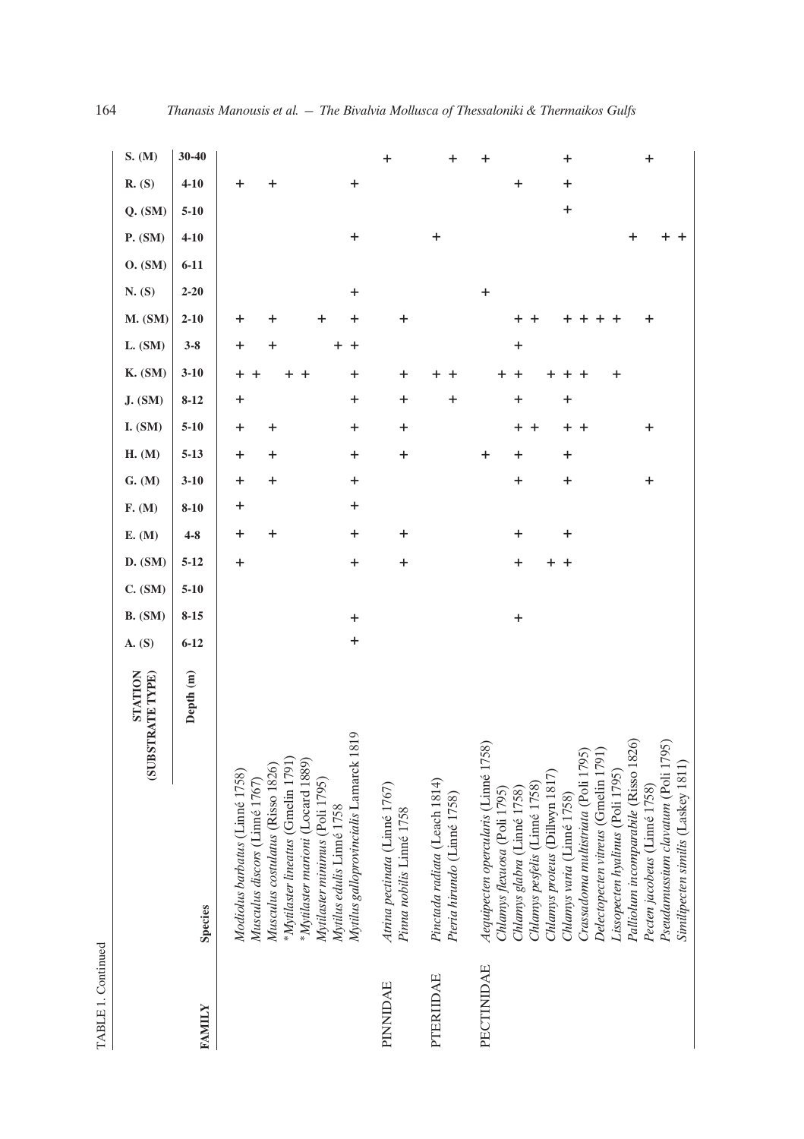|               | STATION<br>(SUBSTRATE TYPE)                                                                                                                                            | A. (S)      | <b>B.</b> (SM) | C. (SM)  | D. (SM)   | E. (M)    | F. (M)   | G. (M)    | <b>H.</b> (M) | <b>J.</b> (SM)<br><b>I.</b> (SM) | <b>K.</b> (SM)         | L. (SM)        | <b>M.</b> (SM) | N. (S)    | O. (SM)  | P. (SM)   | $Q.$ (SM) | R. (S)           | S. (M)           |
|---------------|------------------------------------------------------------------------------------------------------------------------------------------------------------------------|-------------|----------------|----------|-----------|-----------|----------|-----------|---------------|----------------------------------|------------------------|----------------|----------------|-----------|----------|-----------|-----------|------------------|------------------|
| <b>FAMILY</b> | Depth (m)<br><b>Species</b>                                                                                                                                            | $6 - 12$    | $8 - 15$       | $5 - 10$ | $5 - 12$  | $4 - 8$   | $8 - 10$ | $3 - 10$  | $5 - 13$      | $8 - 12$<br>$5 - 10$             | $3 - 10$               | $3 - 8$        | $2 - 10$       | $2 - 20$  | $6 - 11$ | $4 - 10$  | $5 - 10$  | $4 - 10$         | $30 - 40$        |
|               | Modiolus barbatus (Linné 1758)<br>Musculus discors (Linné 1767)                                                                                                        |             |                |          | $\ddot{}$ | +         | +        | +         | +             | +                                | $\ddot{}$              | +              | +              |           |          |           |           | +                |                  |
|               | *Mytilaster lineatus (Gmelin 1791)<br>Musculus costulatus (Risso 1826)                                                                                                 |             |                |          |           | $\pmb{+}$ |          | $\pmb{+}$ | $\ddot{}$     | $\ddot{}$                        |                        | $\ddag$        | +              |           |          |           |           | $\ddot{}$        |                  |
|               | *Mytilaster marioni (Locard 1889)<br>Mytilaster minimus (Poli 1795)                                                                                                    |             |                |          |           |           |          |           |               |                                  |                        |                | $\ddot{}$      |           |          |           |           |                  |                  |
|               | Mytilus galloprovincialis Lamarck 1819<br>Mytilus edulis Linné 1758                                                                                                    | $\mathbf +$ | $\ddot{}$      |          | $\ddot{}$ | $\ddot{}$ | $\ddag$  | $\ddag$   | $\ddot{}$     | $\ddot{}$                        | $\pmb{+}$<br>$\ddot{}$ | $\ddot{}$<br>+ | +              | $\ddot{}$ |          | $\ddag$   |           | $\ddag$          |                  |
| PINNIDAE      | Atrina pectinata (Linné 1767)<br>Pinna nobilis Linné 1758                                                                                                              |             |                |          | $\ddot{}$ | $\ddot{}$ |          |           | $\pmb{+}$     | $\pmb{+}$                        | $\ddot{}$<br>$\ddag$   |                | $\pmb{+}$      |           |          |           |           |                  | $\ddot{}$        |
| PTERIIDAE     | Pinctada radiata (Leach 1814)<br>Pteria hirundo (Linné 1758)                                                                                                           |             |                |          |           |           |          |           |               | $\ddot{}$                        |                        |                |                |           |          | $\ddot{}$ |           |                  | $\ddot{}$        |
| PECTINIDAE    | Aequipecten opercularis (Linné 1758)<br>Chlamys proteus (Dillwyn 1817)<br>Chlamys pesfelis (Linné 1758)<br>Chlamys flexuosa (Poli 1795)<br>Chlamys glabra (Linné 1758) |             | $\ddot{}$      |          | +         | $\ddot{}$ |          | +         | +<br>+        | +<br>+                           | +<br>$\ddot{}$         | +              |                | $\ddot{}$ |          |           |           | $\boldsymbol{+}$ | +                |
|               | Crassadoma multistriata (Poli 1795)<br>Delectopecten vitreus (Gmelin 1791)<br>Chlamys varia (Linné 1758)                                                               |             |                |          | $+$<br>+  | $\ddot{}$ |          | $\ddot{}$ | $\pmb{+}$     | +<br>+                           | $\ddot{}$              |                |                |           |          |           | $\pmb{+}$ | $\pmb{+}$        | $\boldsymbol{+}$ |
|               | (95)<br>Palliolum incomparabile (Risso 18<br>Lissopecten hyalinus (Poli 1795)                                                                                          |             |                |          |           |           |          |           |               |                                  | +                      |                | +              |           |          | +         |           |                  |                  |
|               | Pseudamussium clavatum (Poli 1795)<br>Similipecten similis (Laskey 1811)<br>Pecten jacobeus (Linné 1758)                                                               |             |                |          |           |           |          | $\ddag$   |               | $\ddot{}$                        |                        |                | +              |           |          |           |           |                  | $\pmb{+}$        |

TABLE 1. Continued TABLE 1. Continued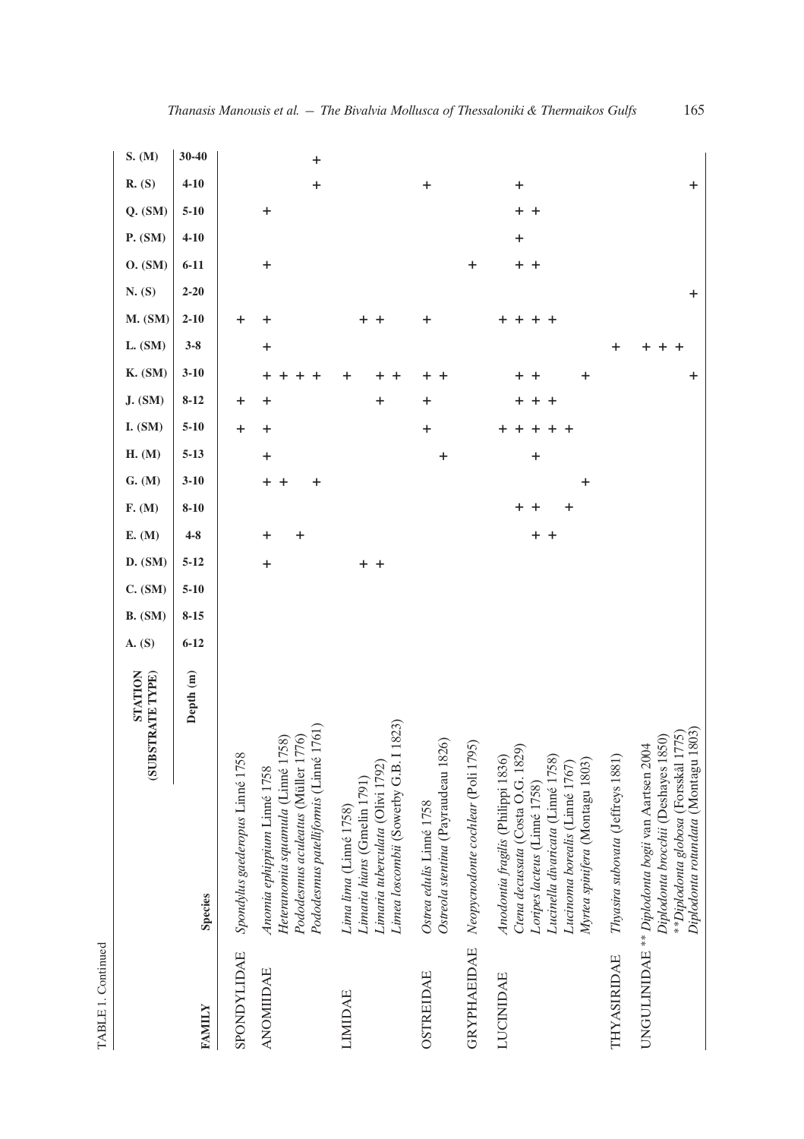|                    |                                                                                                                                                                                                                  | STATION<br>(SUBSTRATE TYPE) | A. (S)   | <b>B.</b> (SM) | D. (SM)<br>C. (SM)   | E. (M)         | F. (M)      | G. (M)              | H. (M)    | I. (SM)   | <b>J.</b> (SM)      | <b>K.</b> (SM) | L. (SM)   | <b>M.</b> (SM) | N. (S)      | P. (SM)<br>O. (SM)   | $Q.$ $(SM)$            | R. (S)    | S. (M)    |
|--------------------|------------------------------------------------------------------------------------------------------------------------------------------------------------------------------------------------------------------|-----------------------------|----------|----------------|----------------------|----------------|-------------|---------------------|-----------|-----------|---------------------|----------------|-----------|----------------|-------------|----------------------|------------------------|-----------|-----------|
| <b>FAMILY</b>      | <b>Species</b>                                                                                                                                                                                                   | Depth (m)                   | $6 - 12$ | $8 - 15$       | $5 - 12$<br>$5 - 10$ | $4 - 8$        | $8 - 10$    | $3-10$              | $5 - 13$  | $5 - 10$  | $8-12$              | $3 - 10$       | $3 - 8$   | $2 - 10$       | $2 - 20$    | $4 - 10$<br>$6 - 11$ | $5 - 10$               | $4 - 10$  | $30 - 40$ |
| SPONDYLIDAE        | Spondylus gaederopus Linné 1758                                                                                                                                                                                  |                             |          |                |                      |                |             |                     |           | +         | +                   |                |           | +              |             |                      |                        |           |           |
| <b>ANOMIIDAE</b>   | Auvuus yerreeri<br>Heteranomia squamula (Linné 1758)<br>Pododesmus aculeatus (Müller 1776)<br>Pododesmus natelliformis (Linné 1761)<br>Anomia ephippium Linné 1758                                               |                             |          |                | $\ddot{}$            | $\ddot{}$<br>+ |             | $\pmb{+}$<br>٠<br>+ | $\ddot{}$ | $\ddot{}$ | +                   |                | $\ddot{}$ | +              | $\ddot{}$   |                      | $\ddot{}$              | $\ddot{}$ | +         |
| <b>LIMIDAE</b>     | Limea loscombii (Sowerby G.B. I<br>Limaria tuberculata (Olivi 1792)<br>Limaria hians (Gmelin 1791)<br>Lima lima (Linné 1758)                                                                                     | 1823)                       |          |                | +<br>$\overline{a}$  |                |             |                     |           |           | +                   |                |           |                |             |                      |                        |           |           |
| <b>OSTREIDAE</b>   | Ostreola stentina (Payraudeau 1826)<br>Ostrea edulis Linné 1758                                                                                                                                                  |                             |          |                |                      |                |             |                     | +         | $\ddot{}$ | +                   |                |           | +              |             |                      |                        | $\ddot{}$ |           |
| <b>GRYPHAEIDAE</b> | Neopycnodonte cochlear (Poli 1795)                                                                                                                                                                               |                             |          |                |                      |                |             |                     |           |           |                     |                |           |                | $\mathbf +$ |                      |                        |           |           |
| LUCINIDAE          | Ctena decussata (Costa O.G. 1829)<br>Anodonia fragilis (Philippi 1836)<br>Lucinella divaricata (Linné 1758)<br>Myrtea spinifera (Montagu 1803)<br>Lucinoma borealis (Linné 1767)<br>Loripes lacteus (Linné 1758) |                             |          |                |                      | $+$ +          | +<br>+<br>+ | +                   | $\ddot{}$ |           | $\overline{a}$<br>+ | ÷              |           | ÷              | $+$ $+$     | $\ddot{}$            | $\ddot{}$<br>$\ddot{}$ | $\ddag$   |           |
| THYASIRIDAE        | Thyasira subovata (Jeffreys 1881)                                                                                                                                                                                |                             |          |                |                      |                |             |                     |           |           |                     |                | ┿         |                |             |                      |                        |           |           |
|                    | UNGULINIDAE ** <i>Diplodonta bogii</i> van Aartsen 2004<br><i>Diplodonta brocchii (D</i> eshayes 1850)<br>**Diplodonta globosa (Forsskål 1'<br>Diplodonta rotundata (Montagu 1                                   | 775)<br>803)                |          |                |                      |                |             |                     |           |           |                     | +              |           |                | +           |                      |                        | $\ddot{}$ |           |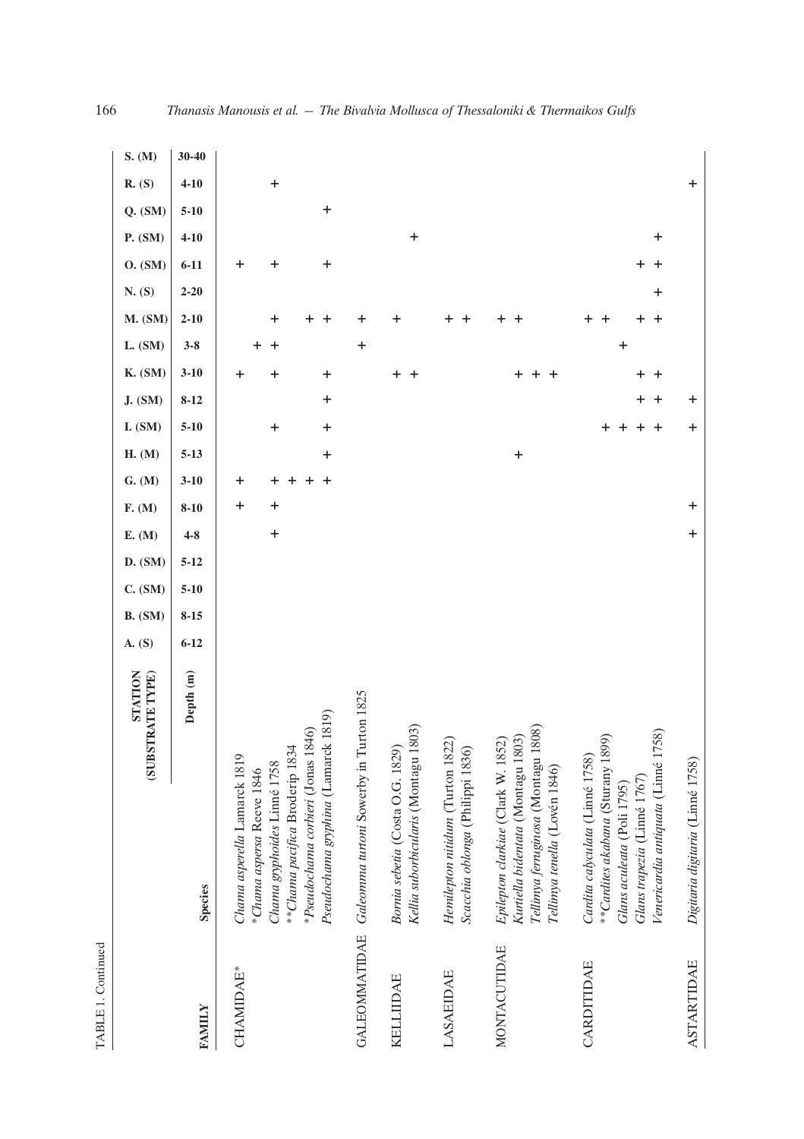| ī |  |
|---|--|

|                   |                                                                                                                                                                                                         | STATION<br>(SUBSTRATE TYPE) | A. (S)   | <b>B.</b> (SM) | D. (SM)<br>C. (SM)   | E. (M)    | F. (M)         | G. (M)   | H. (M)    | I. (SM)  | <b>J.</b> (SM) | <b>K.</b> (SM)                   | L. (SM) | <b>M.</b> (SM) | N. (S)   | O. (SM)     | P. (SM)   | $Q.$ $(SM)$ | R. (S)    | S. (M)    |
|-------------------|---------------------------------------------------------------------------------------------------------------------------------------------------------------------------------------------------------|-----------------------------|----------|----------------|----------------------|-----------|----------------|----------|-----------|----------|----------------|----------------------------------|---------|----------------|----------|-------------|-----------|-------------|-----------|-----------|
| <b>FAMILY</b>     | <b>Species</b>                                                                                                                                                                                          | Depth (m)                   | $6 - 12$ | $8 - 15$       | $5 - 12$<br>$5 - 10$ | $4 - 8$   | $8 - 10$       | $3 - 10$ | $5 - 13$  | $5 - 10$ | $8 - 12$       | $3 - 10$                         | $3 - 8$ | $2 - 10$       | $2 - 20$ | $6 - 11$    | $4 - 10$  | $5 - 10$    | $4 - 10$  | $30 - 40$ |
| <b>CHAMIDAE*</b>  | *Pseudochama corbieri (Jonas 1846)<br>Pseudochama gryphina (Lamarck 1819)<br>**Chama pacifica Broderip 1834<br>Chama asperella Lamarck 1819<br>Chama gryphoides Linné 1758<br>*Chama aspersa Reeve 1846 |                             |          |                |                      | $\ddot{}$ | $\ddot{}$<br>+ | +        | +         | +<br>+   | +              | $\boldsymbol{+}$<br>$\ddag$<br>+ |         | +              |          | +<br>+<br>+ |           | +           | $\ddot{}$ |           |
|                   | GALEOMMATIDAE Galeonima turtoni Sowerby in Turton 1825                                                                                                                                                  |                             |          |                |                      |           |                |          |           |          |                |                                  | +       |                |          |             |           |             |           |           |
| KELLIIDAE         | Kellia suborbicularis (Montagu 1803)<br>Bornia sebetia (Costa O.G. 1829)                                                                                                                                |                             |          |                |                      |           |                |          |           |          |                | $\pm$<br>$\overline{+}$          |         | +              |          |             | $\ddot{}$ |             |           |           |
| LASAEIDAE         | Hemilepton nitidum (Turton 1822)<br>Scacchia oblonga (Philippi 1836)                                                                                                                                    |                             |          |                |                      |           |                |          |           |          |                |                                  |         |                |          |             |           |             |           |           |
| MONTACUTIDAE      | Epilepton clarkiae (Clark W. 1852)<br>Kurtiella bidentata (Montagu 1803)<br>Tellimya ferruginosa (Montagu 1808)<br>Tellimya tenella (Lovén 1846)                                                        |                             |          |                |                      |           |                |          | $\ddot{}$ |          |                |                                  |         |                |          |             |           |             |           |           |
| CARDITIDAE        | Venericardia antiquata (Linné 1758)<br>**Cardites akabana (Sturany 1899)<br>Cardita calyculata (Linné 1758)<br>Glans trapezia (Linné 1767)<br>Glans aculeata (Poli 1795)                                |                             |          |                |                      |           |                |          |           |          | +              | + +                              | +       | ÷              | +        | +           | +         |             |           |           |
| <b>ASTARTIDAE</b> | Digitaria digitaria (Linné 1758)                                                                                                                                                                        |                             |          |                |                      | $\ddot{}$ | $\ddot{}$      |          |           | +        | +              |                                  |         |                |          |             |           |             | +         |           |

166 *Thanasis Manousis et al. — The Bivalvia Mollusca of Thessaloniki & Thermaikos Gulfs*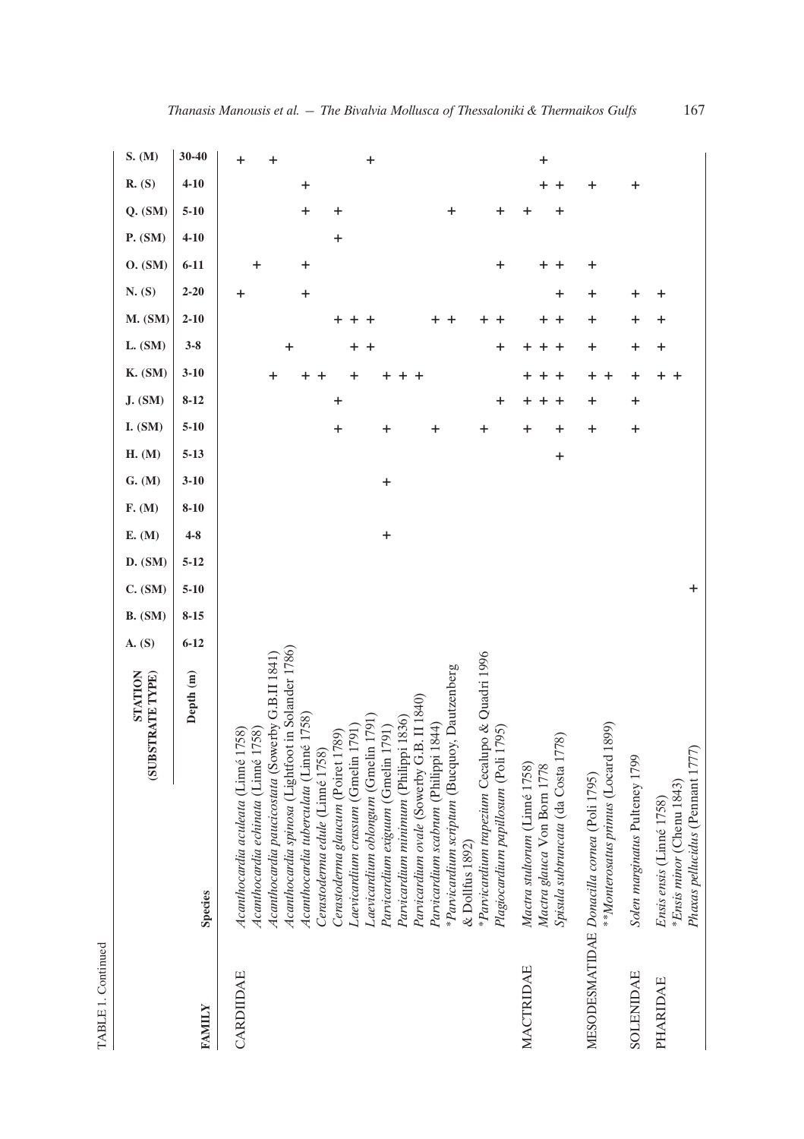|           | STATION<br>(SUBSTRATE TYPE)                                                                | <b>B.</b> (SM)<br>A. (S) | C. (SM)   | D. (SM)  | E. (M)    | F. (M)   | G. (M)   | H. (M)    | <b>J.</b> (SM)<br><b>I.</b> (SM) | <b>K.</b> (SM) | L. (SM) | <b>M.</b> (SM) | N. (S)   | O. (SM)  | P. (SM)     | $Q.$ $(SM)$ | R. (S)    | S. (M) |
|-----------|--------------------------------------------------------------------------------------------|--------------------------|-----------|----------|-----------|----------|----------|-----------|----------------------------------|----------------|---------|----------------|----------|----------|-------------|-------------|-----------|--------|
| FAMILY    | Depth (m)<br><b>Species</b>                                                                | $8 - 15$<br>$6 - 12$     | $5 - 10$  | $5 - 12$ | $4 - 8$   | $8 - 10$ | $3 - 10$ | $5 - 13$  | $8 - 12$<br>$5 - 10$             | $3 - 10$       | $3 - 8$ | $2 - 10$       | $2 - 20$ | $6 - 11$ | $4 - 10$    | $5 - 10$    | $4 - 10$  | 30-40  |
| CARDIIDAE | 1758)<br>Acanthocardia aculeata (Linné                                                     |                          |           |          |           |          |          |           |                                  |                |         |                | ٠        |          |             |             |           |        |
|           | Acanthocardia paucicostata (Sowerby G.B.II 1841)<br>1758)<br>Acanthocardia echinata (Linné |                          |           |          |           |          |          |           |                                  | +              |         |                |          | ┿        |             |             | +         |        |
|           | Acanthocardia spinosa (Lightfoot in Solander 1786)                                         |                          |           |          |           |          |          |           |                                  |                | +       |                |          |          |             |             |           |        |
|           | Acanthocardia tuberculata (Linné 1758)<br>Cerastoderna edule (Linné 1758)                  |                          |           |          |           |          |          |           |                                  |                |         |                | +        | +        |             | +           | $\ddot{}$ |        |
|           | Cerastoderma glaucum (Poiret 1789)                                                         |                          |           |          |           |          |          | $\ddot{}$ | $\mathbf +$                      |                |         | +              |          |          | $\mathbf +$ | +           |           |        |
|           | Laevicardium crassum (Gmelin 1791)                                                         |                          |           |          |           |          |          |           |                                  |                |         |                |          |          |             |             |           |        |
|           | Laevicardium oblongum (Gmelin 1791)<br>Parvicardium exiguum (Gmelin 1791)                  |                          |           |          | $\ddot{}$ |          | $\ddag$  | +         |                                  |                |         |                |          |          |             |             | $\ddot{}$ |        |
|           | Parvicardium minimum (Philippi 1836)                                                       |                          |           |          |           |          |          |           |                                  |                |         |                |          |          |             |             |           |        |
|           | Parvicardium ovale (Sowerby G.B. II 1840)                                                  |                          |           |          |           |          |          |           |                                  |                |         |                |          |          |             |             |           |        |
|           | Parvicardium scabrum (Philippi 1844)                                                       |                          |           |          |           |          |          |           |                                  |                |         |                |          |          |             |             |           |        |
|           | *Parvicardium scriptum (Bucquoy, Dautzenberg<br>$&$ Dollfus 1892)                          |                          |           |          |           |          |          |           |                                  |                |         |                |          |          |             | +           |           |        |
|           | *Parvicardium trapezium Cecalupo & Quadri 1996                                             |                          |           |          |           |          |          | +         |                                  |                |         |                |          |          |             |             |           |        |
|           | Plagiocardium papillosum (Poli 1795)                                                       |                          |           |          |           |          |          |           | +                                |                | +       |                |          | +        |             | +           |           |        |
| MACTRIDAE | Mactra stultorum (Linné 1758)<br>Mactra glauca Von Born 1778                               |                          |           |          |           |          |          | ٠         | ٠                                |                |         |                |          |          |             |             | +         |        |
|           | Spisula subtruncata (da Costa 1778)                                                        |                          |           |          |           |          |          | $\ddag$   |                                  |                |         |                | ┿        |          |             |             |           |        |
|           | **Monterosatus primus (Locard 1899)<br>MESODESMATIDAE Donacilla cornea (Poli 1795)         |                          |           |          |           |          |          | $\ddot{}$ | +                                | +              | +       | +              | +        | +        |             |             | +         |        |
| SOLENIDAE | Solen marginatus Pulteney 1799                                                             |                          |           |          |           |          |          | $\ddot{}$ | $\ddag$                          | +              | +       | +              | ┿        |          |             |             | +         |        |
| PHARIDAE  | *Ensis minor (Chenu 1843)<br>Ensis ensis (Linné 1758)                                      |                          |           |          |           |          |          |           |                                  |                | +       | +              | +        |          |             |             |           |        |
|           | Phaxas pellucidus (Pennant 1777)                                                           |                          | $\ddot{}$ |          |           |          |          |           |                                  |                |         |                |          |          |             |             |           |        |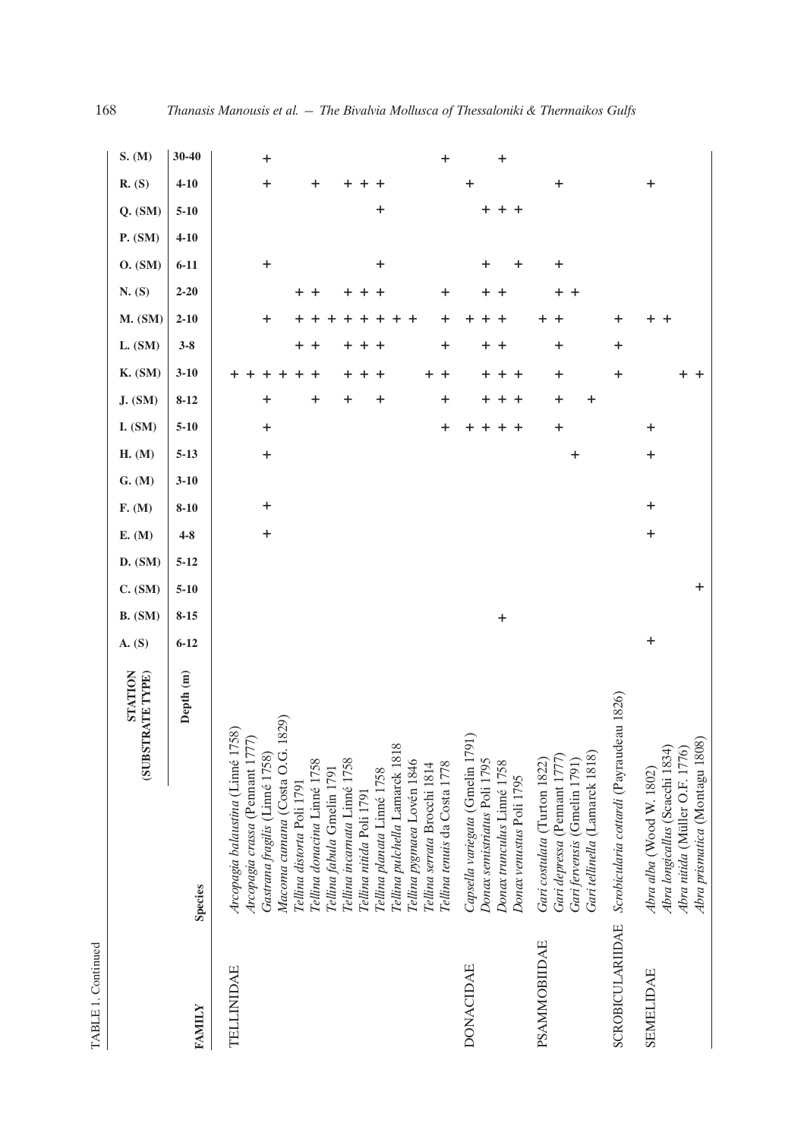| н |  |
|---|--|
|   |  |
|   |  |

|                         |                                                                                                                                | STATION<br>(SUBSTRATE TYPE) | A. (S)    | <b>B.</b> (SM) | D. (SM)<br>$C.$ $(SM)$ | E. (M)    | F. (M)      | G. (M)   | H. (M)      | I. (SM)          | <b>J.</b> (SM) | <b>K.</b> (SM)      | L. (SM)          | <b>M.</b> (SM) | N. (S)    | O. (SM)   | P. (SM)  | $Q.$ (SM) | R. (S)    | S. (M)    |
|-------------------------|--------------------------------------------------------------------------------------------------------------------------------|-----------------------------|-----------|----------------|------------------------|-----------|-------------|----------|-------------|------------------|----------------|---------------------|------------------|----------------|-----------|-----------|----------|-----------|-----------|-----------|
| FAMILY                  | Species                                                                                                                        | Depth (m)                   | $6 - 12$  | $8 - 15$       | $5 - 12$<br>$5 - 10$   | $4 - 8$   | $8 - 10$    | $3 - 10$ | $5 - 13$    | $5 - 10$         | $8 - 12$       | $3 - 10$            | $3 - 8$          | $2 - 10$       | $2 - 20$  | $6 - 11$  | $4 - 10$ | $5 - 10$  | $4 - 10$  | 30-40     |
| TELLINIDAE              | Arcopagia balaustina (Linné 1758)<br>Arcopagia crassa (Pennant 1777)                                                           |                             |           |                |                        |           |             |          |             |                  |                |                     |                  |                |           |           |          |           |           |           |
|                         | Macoma cumana (Costa O.G.<br>Gastrana fragilis (Linné 1758)                                                                    | 1829)                       |           |                |                        | $\ddot{}$ | $\mathbf +$ |          | $\ddot{}$   | $\ddot{}$        | +              |                     |                  | +              |           | $\pmb{+}$ |          |           | +         | +         |
|                         | Tellina donacina Linné 1758<br>Tellina distorta Poli 1791                                                                      |                             |           |                |                        |           |             |          |             |                  | +              | +<br>+              | +<br>+           |                | $+$ $+$   |           |          |           | +         |           |
|                         | Tellina fabula Gmelin 1791                                                                                                     |                             |           |                |                        |           |             |          |             |                  |                |                     |                  |                |           |           |          |           |           |           |
|                         | Tellina incarnata Linné 1758<br>Tellina nitida Poli 1791                                                                       |                             |           |                |                        |           |             |          |             |                  | +              | +                   |                  |                | +         |           |          |           |           |           |
|                         | Tellina planata Linné 1758                                                                                                     |                             |           |                |                        |           |             |          |             |                  | +              | +                   |                  |                | $\ddot{}$ | $\ddag$   |          | $\ddag$   |           |           |
|                         | Tellina pulchella Lamarck 181<br>Tellina pygmaea Lovén 1846                                                                    | $\infty$                    |           |                |                        |           |             |          |             |                  |                |                     |                  |                |           |           |          |           |           |           |
|                         | Tellina tenuis da Costa 1778<br>Tellina serrata Brocchi 1814                                                                   |                             |           |                |                        |           |             |          |             | $\boldsymbol{+}$ | $\mathbf +$    | +<br>$\ddot{}$      | $\boldsymbol{+}$ | +              | $\ddot{}$ |           |          |           |           | $\ddot{}$ |
| <b>DONACIDAE</b>        | Capsella variegata (Gmelin 1791)<br>Donax semistriatus Poli 1795                                                               |                             |           |                |                        |           |             |          |             |                  | +              | +                   | $\pm$            |                |           | $\ddag$   |          | $+$       | $\ddag$   |           |
|                         | Donax trunculus Linné 1758<br>Donax venustus Poli 1795                                                                         |                             |           | $\ddag$        |                        |           |             |          |             | +<br>$\pm$       | $\pm$<br>+     | $\overline{+}$<br>+ | $\ddot{}$        | ٠              | $+$ $+$   | +         |          | $+$ +     |           | +         |
| PSAMMOBIIDAE            | Gari tellinella (Lamarck 1818)<br>Gari depressa (Pennant 1777)<br>Gari costulata (Turton 1822)<br>Gari fervensis (Gmelin 1791) |                             |           |                |                        |           |             |          | $\mathbf +$ | $\ddot{}$        | $\ddot{}$<br>+ | $\boldsymbol{+}$    | +                |                | $+$<br>+  | +         |          |           | +         |           |
| <b>SCROBICULARIIDAE</b> | Scrobicularia cottardi (Payraudeau 1826)                                                                                       |                             |           |                |                        |           |             |          |             |                  |                | $\boldsymbol{+}$    | $\ddot{}$        | +              |           |           |          |           |           |           |
| <b>SEMELIDAE</b>        | Abra longicallus (Scacchi 1834<br>Abra nitida (Müller O.F. 1776)<br>Abra alba (Wood W. 1802)                                   |                             | $\ddot{}$ |                |                        | $\ddag$   | $\ddag$     |          | $\ddag$     | $\ddot{}$        |                | +                   |                  | +<br>$^+$      |           |           |          |           | $\ddot{}$ |           |
|                         | Abra prismatica (Montagu 180                                                                                                   | $\circledS$                 |           |                | $\ddot{}$              |           |             |          |             |                  |                | $^{+}$              |                  |                |           |           |          |           |           |           |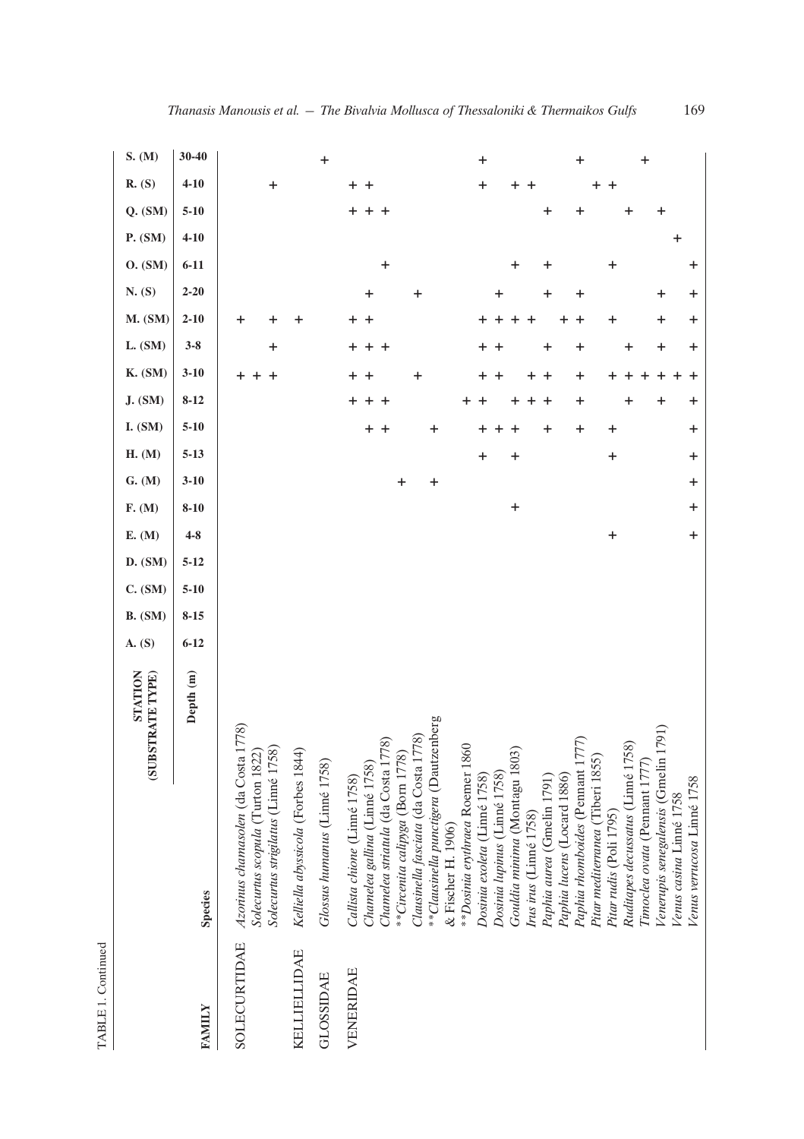|                  |                                                                                                                                                                                                                                                                                    | STATION<br>(SUBSTRATE TYPE) | A. (S)   | <b>B.</b> (SM) | C. (SM)  | E. (M)<br>D. (SM)   | F. (M)    | G. (M)       | H. (M)               | <b>I.</b> (SM)              | <b>J.</b> (SM)        | <b>K.</b> (SM)              | L. (SM)                  | <b>M.</b> (SM)        | N. (S)         | O. (SM)   | P. (SM)  | $Q.$ (SM) | R. (S)                             | S. (M)    |
|------------------|------------------------------------------------------------------------------------------------------------------------------------------------------------------------------------------------------------------------------------------------------------------------------------|-----------------------------|----------|----------------|----------|---------------------|-----------|--------------|----------------------|-----------------------------|-----------------------|-----------------------------|--------------------------|-----------------------|----------------|-----------|----------|-----------|------------------------------------|-----------|
| <b>FAMILY</b>    | Species                                                                                                                                                                                                                                                                            | Depth (m)                   | $6 - 12$ | $8 - 15$       | $5 - 10$ | $4 - 8$<br>$5 - 12$ | $8 - 10$  | $3 - 10$     | $5 - 13$             | $5 - 10$                    | $8 - 12$              | $3 - 10$                    | $3 - 8$                  | $2 - 10$              | $2 - 20$       | $6 - 11$  | $4 - 10$ | $5 - 10$  | $4 - 10$                           | 30-40     |
| SOLECURTIDAE     | Azorinus chamasolen (da Costa 1778)<br>Solecurtus strigilatus (Linné 1758)<br>Solecurtus scopula (Turton 1822)                                                                                                                                                                     |                             |          |                |          |                     |           |              |                      |                             |                       | +<br>$\ddot{}$<br>$^{+}$    | +                        | +<br>+                |                |           |          |           | $\ddot{}$                          |           |
| KELLIELLIDAE     | Kelliella abyssicola (Forbes 1844)                                                                                                                                                                                                                                                 |                             |          |                |          |                     |           |              |                      |                             |                       |                             |                          | +                     |                |           |          |           |                                    |           |
| <b>GLOSSIDAE</b> | Glossus humanus (Linné 1758)                                                                                                                                                                                                                                                       |                             |          |                |          |                     |           |              |                      |                             |                       |                             |                          |                       |                |           |          |           |                                    | $\ddot{}$ |
| VENERIDAE        | **Clausinella punctigera (Dautzenberg<br>Clausinella fasciata (da Costa 1778)<br>Chamelea striatula (da Costa 1778)<br>** Dosinia erythraea Roemer 1860<br>**Circenita calipyga (Born 1778)<br>Chamelea gallina (Linné 1758)<br>Callista chione (Linné 1758)<br>& Fischer H. 1906) |                             |          |                |          |                     |           | $\ddag$<br>+ |                      | $\pmb{+}$<br>$\ddot{}$<br>+ | $+ + +$<br>+          | $\ddot{}$<br>$\ddot{}$<br>+ | +<br>$\overline{1}$<br>+ | $+$ $+$               | +<br>+         | $\ddot{}$ |          | +<br>+ +  | +<br>$\mathbf +$                   |           |
|                  | Gouldia minima (Montagu 1803)<br>Dosinia lupinus (Linné 1758)<br>Dosinia exoleta (Linné 1758)<br>Irus irus (Linné 1758)                                                                                                                                                            |                             |          |                |          |                     | $\ddot{}$ |              | $\ddot{}$<br>$\ddag$ | ٠                           | $\pm$<br>+            | $+$ $+$                     | $\ddot{}$                | $\pm$<br>$^{+}$<br>÷. | +              | +         |          |           | $\boldsymbol{+}$<br>+<br>$\ddot{}$ | $\ddot{}$ |
|                  | Paphia rhomboides (Pennant 1777<br>Paphia lucens (Locard 1886)<br>Paphia aurea (Gmelin 1791)                                                                                                                                                                                       |                             |          |                |          |                     |           |              |                      | $\ddot{}$<br>+              | $^{+}$<br>$\mathbf +$ | +<br>$\ddot{}$<br>$\pm$     | +<br>+                   | +<br>÷                | +<br>+         | +         |          | +<br>+    |                                    | $\ddot{}$ |
|                  | Ruditapes decussatus (Linné 1758)<br>Pitar mediterranea (Tiberi 1855)<br>Pitar rudis (Poli 1795)                                                                                                                                                                                   |                             |          |                |          | $\ddot{}$           |           |              | $\ddot{}$            | $\ddot{}$                   | +                     |                             | +                        | $\ddot{}$             |                | +         |          | +         | $\overline{+}$<br>+                |           |
|                  | Venerupis senegalensis (Gmelin 17<br>Timoclea ovata (Pennant 1777)<br>Venus verrucosa Linné 1758<br>Venus casina Linné 1758                                                                                                                                                        | (10)                        |          |                |          | +                   | +         | $\ddot{}$    | $\ddot{}$            | $\ddot{}$                   | +<br>┿                | $\pm$                       | +<br>+                   | $\ddot{}$<br>+        | +<br>$\ddot{}$ | +         | $\ddag$  | ┿         |                                    | $\ddot{}$ |

TABLE 1. Continued TABLE 1. Continued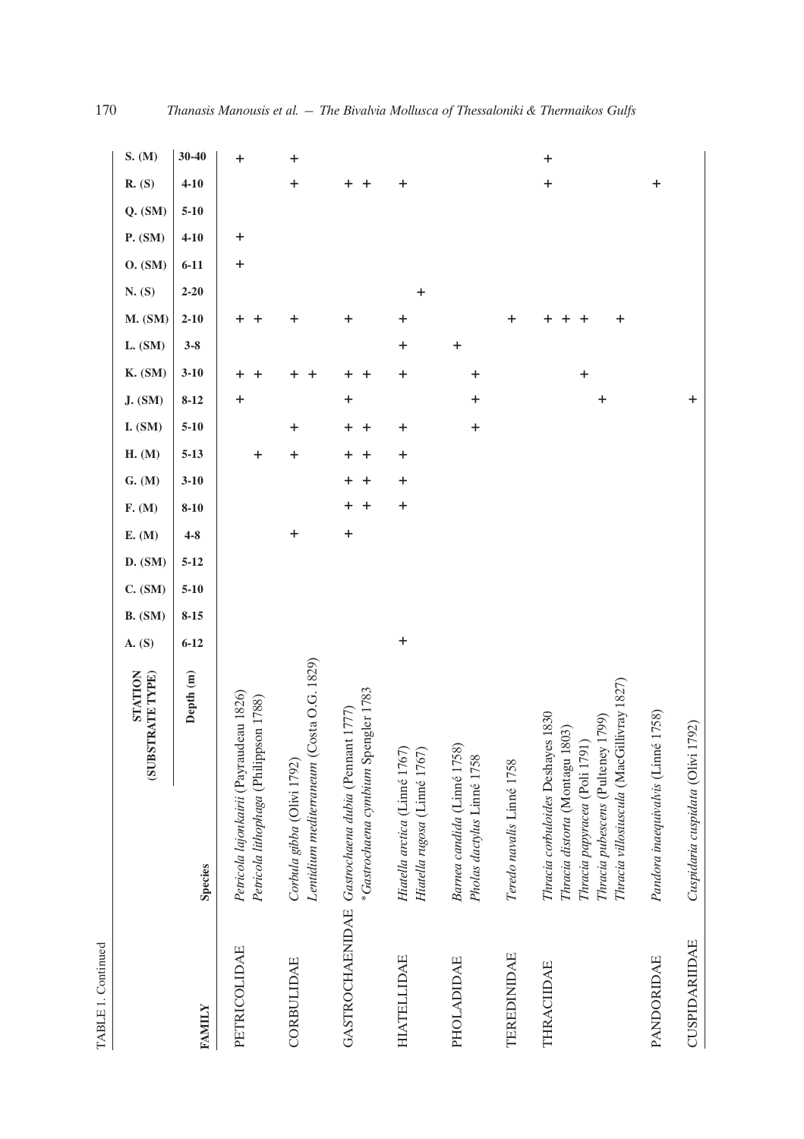|                    | (SUBSTRATE TYPE)                                                                                                                                                                            | STATION   | A. (S)    | <b>B.</b> (SM) | C. (SM)  | D. (SM)  | F. (M)<br>E. (M) | G. (M)                   | H. (M)         | I. (SM)   | J. (SM)   | <b>K.</b> (SM) | L. (SM)   | <b>M.</b> (SM) | N. (S)    | O. (SM)   | P. (SM)     | $Q.$ $(SM)$ | <b>R.</b> (S)    | S. (M)           |
|--------------------|---------------------------------------------------------------------------------------------------------------------------------------------------------------------------------------------|-----------|-----------|----------------|----------|----------|------------------|--------------------------|----------------|-----------|-----------|----------------|-----------|----------------|-----------|-----------|-------------|-------------|------------------|------------------|
| <b>FANILY</b>      | Species                                                                                                                                                                                     | Depth (m) | $6 - 12$  | $8 - 15$       | $5 - 10$ | $5 - 12$ | $4 - 8$          | $3 - 10$<br>$8 - 10$     | $5 - 13$       | $5 - 10$  | $8 - 12$  | $3 - 10$       | $3 - 8$   | $2 - 10$       | $2 - 20$  | $6 - 11$  | $4 - 10$    | $5 - 10$    | $4 - 10$         | $30 - 40$        |
| PETRICOLIDAE       | Petricola lajonkairii (Payraudeau 1826)<br>Petricola lithophaga (Philippson 1788)                                                                                                           |           |           |                |          |          |                  |                          | +              |           | +         |                |           |                |           | $\ddot{}$ | $\mathbf +$ |             |                  | $\boldsymbol{+}$ |
| CORBULIDAE         | Lentidium mediterraneum (Costa O.G. 1829)<br>Corbula gibba (Olivi 1792)                                                                                                                     |           |           |                |          |          | $\ddag$          |                          | $\mathbf +$    | $\ddag$   |           |                |           | +              |           |           |             |             | $\ddot{}$        | $\ddag$          |
|                    | *Gastrochaena cymbium Spengler 1783<br>GASTROCHAENIDAE Gastrochaena dubia (Pemant 1777)                                                                                                     |           |           |                |          |          | $\ddot{}$        | +<br>+<br>$\ddot{}$<br>+ | +<br>$\ddot{}$ | +<br>+    | $\ddot{}$ | +              |           | $\ddag$        |           |           |             |             |                  |                  |
| HIATELLIDAE        | Hiatella arctica (Linné 1767<br>Hiatella rugosa (Linné 1767)                                                                                                                                |           | $\ddot{}$ |                |          |          |                  | $\ddot{}$<br>$\ddot{}$   | +              | $\ddag$   |           | +              | $\ddot{}$ | $\ddag$        | $\ddot{}$ |           |             |             | $\ddag$          |                  |
| <b>PHOLADIDAE</b>  | Barnea candida (Linné 1758)<br>Pholas dactylus Linné 1758                                                                                                                                   |           |           |                |          |          |                  |                          |                | $\pmb{+}$ | $\pmb{+}$ | +              | $\ddot{}$ |                |           |           |             |             |                  |                  |
| <b>TEREDINIDAE</b> | Teredo navalis Linné 1758                                                                                                                                                                   |           |           |                |          |          |                  |                          |                |           |           |                |           | +              |           |           |             |             |                  |                  |
| THRACIIDAE         | Thracia villosiuscula (MacGillivray 1827)<br>Thracia corbuloides Deshayes 1830<br>Thracia pubescens (Pulteney 1799)<br>803)<br>Thracia papyracea (Poli 1791)<br>Thracia distorta (Montagu 1 |           |           |                |          |          |                  |                          |                |           | +         | $\ddot{}$      |           | +              |           |           |             |             | $\ddot{}$        | $\pmb{+}$        |
| PANDORIDAE         | ié 1758)<br>Pandora inaequivalvis (Linn                                                                                                                                                     |           |           |                |          |          |                  |                          |                |           |           |                |           |                |           |           |             |             | $\boldsymbol{+}$ |                  |
| CUSPIDARIIDAE      | Cuspidaria cuspidata (Olivi 1792)                                                                                                                                                           |           |           |                |          |          |                  |                          |                |           | $\pmb{+}$ |                |           |                |           |           |             |             |                  |                  |

TABLE 1. Continued TABLE 1. Continued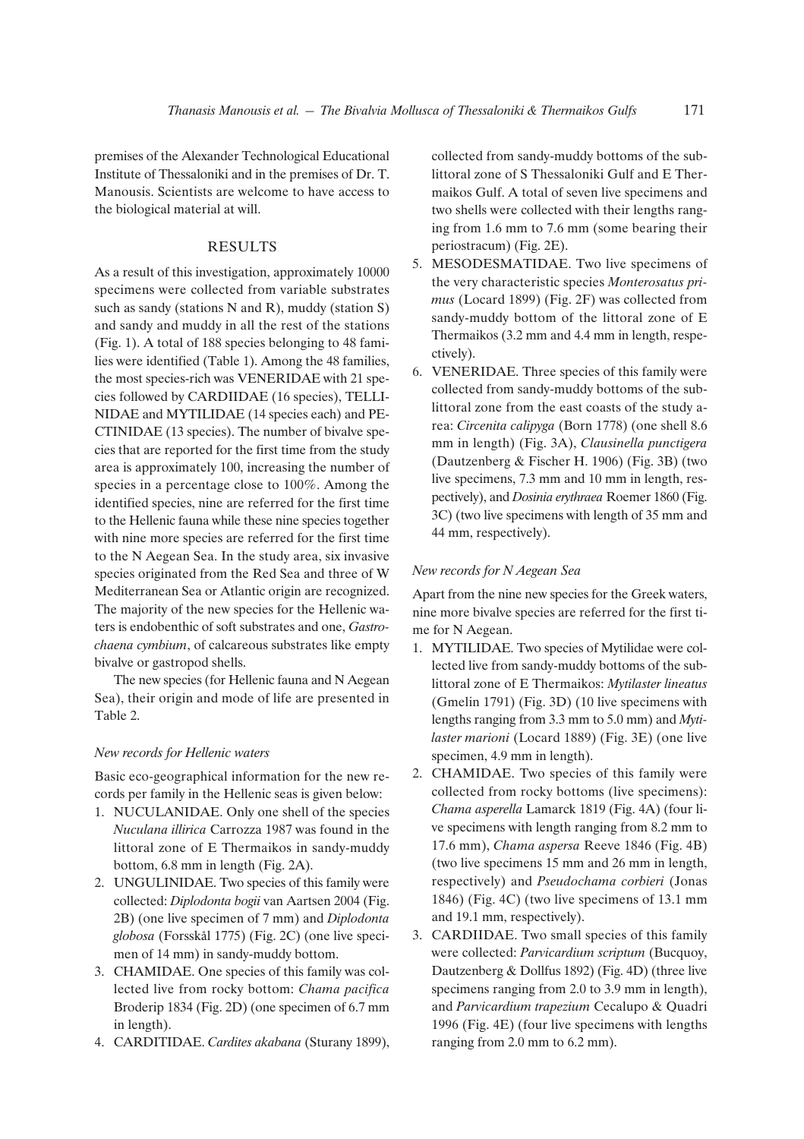premises of the Alexander Technological Educational Institute of Thessaloniki and in the premises of Dr. T. Manousis. Scientists are welcome to have access to the biological material at will.

## RESULTS

As a result of this investigation, approximately 10000 specimens were collected from variable substrates such as sandy (stations N and R), muddy (station S) and sandy and muddy in all the rest of the stations (Fig. 1). A total of 188 species belonging to 48 families were identified (Table 1). Among the 48 families, the most species-rich was VENERIDAE with 21 species followed by CARDIIDAE (16 species), TELLI-NIDAE and MYTILIDAE (14 species each) and PE-CTINIDAE (13 species). The number of bivalve species that are reported for the first time from the study area is approximately 100, increasing the number of species in a percentage close to 100%. Among the identified species, nine are referred for the first time to the Hellenic fauna while these nine species together with nine more species are referred for the first time to the N Aegean Sea. In the study area, six invasive species originated from the Red Sea and three of W Mediterranean Sea or Atlantic origin are recognized. The majority of the new species for the Hellenic waters is endobenthic of soft substrates and one, *Gastrochaena cymbium*, of calcareous substrates like empty bivalve or gastropod shells.

The new species (for Hellenic fauna and N Aegean Sea), their origin and mode of life are presented in Table 2.

#### *New records for Hellenic waters*

Basic eco-geographical information for the new records per family in the Hellenic seas is given below:

- 1. NUCULANIDAE. Only one shell of the species *Nuculana illirica* Carrozza 1987 was found in the littoral zone of E Thermaikos in sandy-muddy bottom, 6.8 mm in length (Fig. 2A).
- 2. UNGULINIDAE. Two species of this family were collected: *Diplodonta bogii* van Aartsen 2004 (Fig. 2B) (one live specimen of 7 mm) and *Diplodonta globosa* (Forsskål 1775) (Fig. 2C) (one live specimen of 14 mm) in sandy-muddy bottom.
- 3. CHAMIDAE. One species of this family was collected live from rocky bottom: *Chama pacifica* Broderip 1834 (Fig. 2D) (one specimen of 6.7 mm in length).
- 4. CARDITIDAE. *Cardites akabana* (Sturany 1899),

collected from sandy-muddy bottoms of the sublittoral zone of S Thessaloniki Gulf and E Thermaikos Gulf. A total of seven live specimens and two shells were collected with their lengths ranging from 1.6 mm to 7.6 mm (some bearing their periostracum) (Fig. 2E).

- 5. MESODESMATIDAE. Two live specimens of the very characteristic species *Monterosatus primus* (Locard 1899) (Fig. 2F) was collected from sandy-muddy bottom of the littoral zone of E Thermaikos (3.2 mm and 4.4 mm in length, respectively).
- 6. VENERIDAE. Three species of this family were collected from sandy-muddy bottoms of the sublittoral zone from the east coasts of the study area: *Circenita calipyga* (Born 1778) (one shell 8.6 mm in length) (Fig. 3A), *Clausinella punctigera* (Dautzenberg & Fischer H. 1906) (Fig. 3B) (two live specimens, 7.3 mm and 10 mm in length, respectively), and *Dosinia erythraea* Roemer 1860 (Fig. 3C) (two live specimens with length of 35 mm and 44 mm, respectively).

#### *New records for N Aegean Sea*

Apart from the nine new species for the Greek waters, nine more bivalve species are referred for the first time for N Aegean.

- 1. MYTILIDAE. Two species of Mytilidae were collected live from sandy-muddy bottoms of the sublittoral zone of E Thermaikos: *Mytilaster lineatus* (Gmelin 1791) (Fig. 3D) (10 live specimens with lengths ranging from 3.3 mm to 5.0 mm) and *Mytilaster marioni* (Locard 1889) (Fig. 3E) (one live specimen, 4.9 mm in length).
- 2. CHAMIDAE. Two species of this family were collected from rocky bottoms (live specimens): *Chama asperella* Lamarck 1819 (Fig. 4A) (four live specimens with length ranging from 8.2 mm to 17.6 mm), *Chama aspersa* Reeve 1846 (Fig. 4B) (two live specimens 15 mm and 26 mm in length, respectively) and *Pseudochama corbieri* (Jonas 1846) (Fig. 4C) (two live specimens of 13.1 mm and 19.1 mm, respectively).
- 3. CARDIIDAE. Two small species of this family were collected: *Parvicardium scriptum* (Bucquoy, Dautzenberg & Dollfus 1892) (Fig. 4D) (three live specimens ranging from 2.0 to 3.9 mm in length), and *Parvicardium trapezium* Cecalupo & Quadri 1996 (Fig. 4E) (four live specimens with lengths ranging from 2.0 mm to 6.2 mm).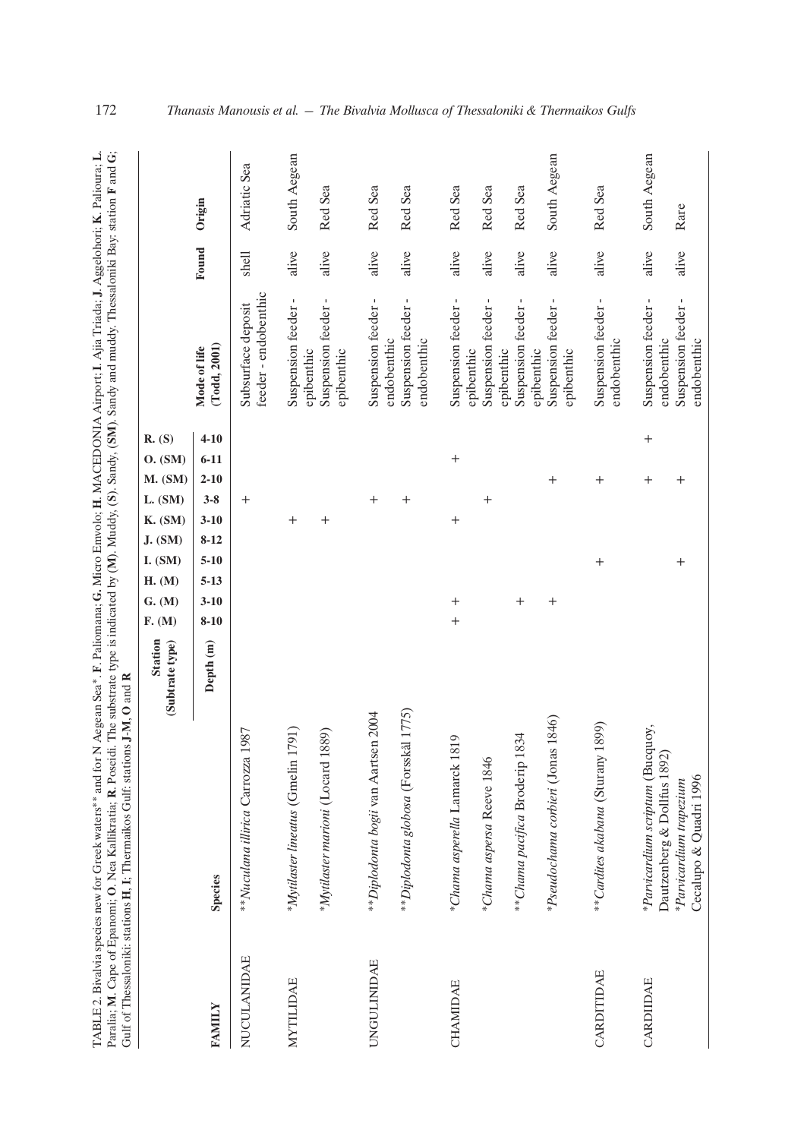| TABLE 2. Bivalvia species new for Greek waters** and for N Aegean Sea*. F. Paliomana; G. Micro Emvolo; H. MACEDONIA Airport; I. Ajia Triada; J. Aggelohori; K. Palioura; L. | di. The substrate type is indicated by (M). Muddy, (S). Sandy, Sandy and muddy. Thessaloniki Bay: station F and G;<br>Paralia; M. Cape of Epanomi; O. Nea Kallikratia; R. Poseic | ns J-M. O and R<br>Gulf of Thessaloniki: stations H. I: Thermaikos Gulf: station |
|-----------------------------------------------------------------------------------------------------------------------------------------------------------------------------|----------------------------------------------------------------------------------------------------------------------------------------------------------------------------------|----------------------------------------------------------------------------------|

|                    |                                                                 | <b>Station</b><br>(Subtrate type) | G. (M)<br>F. (M) | H. (M)               | I. (SM)          | <b>K.</b> (SM)<br>J. (SM) | $M.$ (SM)<br>L. (SM) | R. (S)<br>O. (SM)    |                                            |       |              |
|--------------------|-----------------------------------------------------------------|-----------------------------------|------------------|----------------------|------------------|---------------------------|----------------------|----------------------|--------------------------------------------|-------|--------------|
| <b>FAMILY</b>      | Species                                                         | Depth (m)                         | $8 - 10$         | $5 - 13$<br>$3 - 10$ | $5 - 10$         | $3 - 10$<br>$8 - 12$      | $2 - 10$<br>$3 - 8$  | $4 - 10$<br>$6 - 11$ | (Todd, 2001)<br>Mode of life               | Found | Origin       |
| <b>NUCULANIDAE</b> | 1987<br>**Nuculana illirica Carrozza 1                          |                                   |                  |                      |                  |                           | $^{+}$               |                      | feeder - endobenthic<br>Subsurface deposit | shell | Adriatic Sea |
| <b>MYTILIDAE</b>   | 791)<br>*Mytilaster lineatus (Gmelin 1                          |                                   |                  |                      |                  | $^{+}$                    |                      |                      | Suspension feeder-<br>epibenthic           | alive | South Aegean |
|                    | *Mytilaster marioni (Locard 1889)                               |                                   |                  |                      |                  | $^{+}$                    |                      |                      | Suspension feeder-<br>epibenthic           | alive | Red Sea      |
| <b>UNGULINIDAE</b> | **Diplodonta bogii van Aartsen 2004                             |                                   |                  |                      |                  |                           | $^{+}$               |                      | Suspension feeder-<br>endobenthic          | alive | Red Sea      |
|                    | **Diplodonta globosa (Forsskål 1775)                            |                                   |                  |                      |                  |                           | $^{+}$               |                      | Suspension feeder-<br>endobenthic          | alive | Red Sea      |
| CHAMIDAE           | *Chama asperella Lamarck 1819                                   |                                   | $^{+}$<br>$^{+}$ |                      |                  | $^{+}$                    |                      | $^{+}$               | Suspension feeder-<br>epibenthic           | alive | Red Sea      |
|                    | *Chama aspersa Reeve 1846                                       |                                   |                  |                      |                  |                           | $^{+}$               |                      | Suspension feeder-<br>epibenthic           | alive | Red Sea      |
|                    | **Chama pacifica Broderip 1834                                  |                                   | $^{+}$           |                      |                  |                           |                      |                      | Suspension feeder-<br>epibenthic           | alive | Red Sea      |
|                    | 1846)<br>*Pseudochama corbieri (Jonas                           |                                   | $^{+}$           |                      |                  |                           | $^{+}$               |                      | Suspension feeder-<br>epibenthic           | alive | South Aegean |
| CARDITIDAE         | (6681<br>**Cardites akabana (Sturany                            |                                   |                  |                      | $\boldsymbol{+}$ |                           | $^{+}$               |                      | Suspension feeder-<br>endobenthic          | alive | Red Sea      |
| CARDIIDAE          | *Parvicardium scriptum (Bucquoy,<br>Dautzenberg & Dollfus 1892) |                                   |                  |                      |                  |                           | $^{+}$               | $^{+}$               | Suspension feeder-<br>endobenthic          | alive | South Aegean |
|                    | Cecalupo & Quadri 1996<br>*Parvicardium trapezium               |                                   |                  |                      | $^{+}$           |                           | $^{+}$               |                      | Suspension feeder-<br>endobenthic          | alive | Rare         |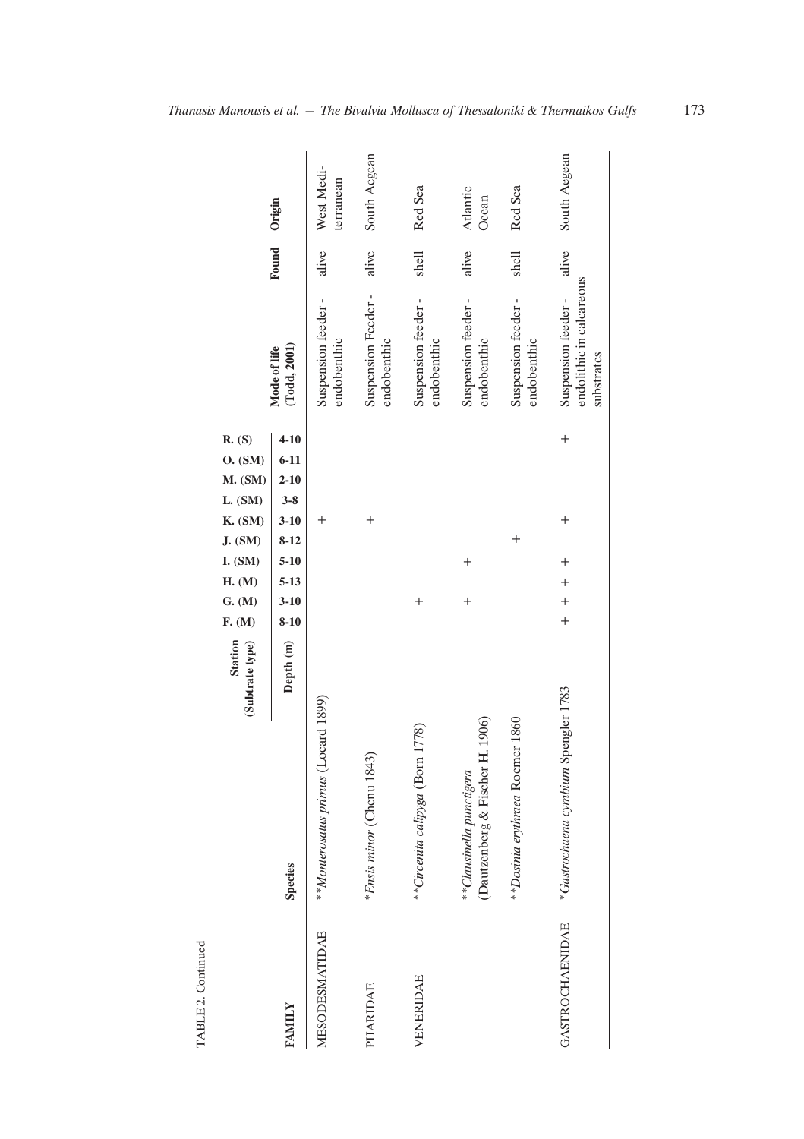| TABLE 2. Continued     |                                                                |                                   |                        |                      |          |                    |          |                      |                                                              |       |                         |
|------------------------|----------------------------------------------------------------|-----------------------------------|------------------------|----------------------|----------|--------------------|----------|----------------------|--------------------------------------------------------------|-------|-------------------------|
|                        |                                                                | <b>Station</b><br>(Subtrate type) | G. (M)<br>F. (M)       | I. (SM)<br>H. (M)    | J. (SM)  | L. (SM)<br>K. (SM) | M. (SM)  | R. (S)<br>O. (SM)    |                                                              |       |                         |
| FAMILY                 | <b>Species</b>                                                 | Depth (m)                         | $3 - 10$<br>$8-10$     | $5 - 10$<br>$5 - 13$ | $8 - 12$ | $3-8$<br>$3 - 10$  | $2 - 10$ | $4 - 10$<br>$6 - 11$ | (Todd, 2001)<br>Mode of life                                 | Found | Origin                  |
| MESODESMATIDAE         | **Monterosatus primus (Locard 1899)                            |                                   |                        |                      |          | $\,{}^+$           |          |                      | Suspension feeder -<br>endobenthic                           | alive | West Medi-<br>terranean |
| PHARIDAE               | <i>*Ensis minor</i> (Chenu 1843)                               |                                   |                        |                      |          | $^{+}$             |          |                      | Suspension Feeder-<br>endobenthic                            | alive | South Aegean            |
| VENERIDAE              | **Circenita calipyga (Born 1778)                               |                                   | $^{+}$                 |                      |          |                    |          |                      | Suspension feeder-<br>endobenthic                            | shell | Red Sea                 |
|                        | H. 1906<br>Dautzenberg & Fischer 1<br>**Clausinella punctigera |                                   | $^{+}$                 | $^{+}$               |          |                    |          |                      | Suspension feeder-<br>endobenthic                            | alive | Atlantic<br>Ocean       |
|                        | ** Dosinia erythraea Roemer 1860                               |                                   |                        |                      | $^{+}$   |                    |          |                      | Suspension feeder -<br>endobenthic                           | shell | Red Sea                 |
| <b>GASTROCHAENIDAE</b> | *Gastrochaena cymbium Spengler 1783                            |                                   | $\ddot{}$<br>$\ddot{}$ | $^{+}$<br>$\ddot{}$  |          | $^{+}$             |          | $^{+}$               | endolithic in calcareous<br>Suspension feeder-<br>substrates | alive | South Aegean            |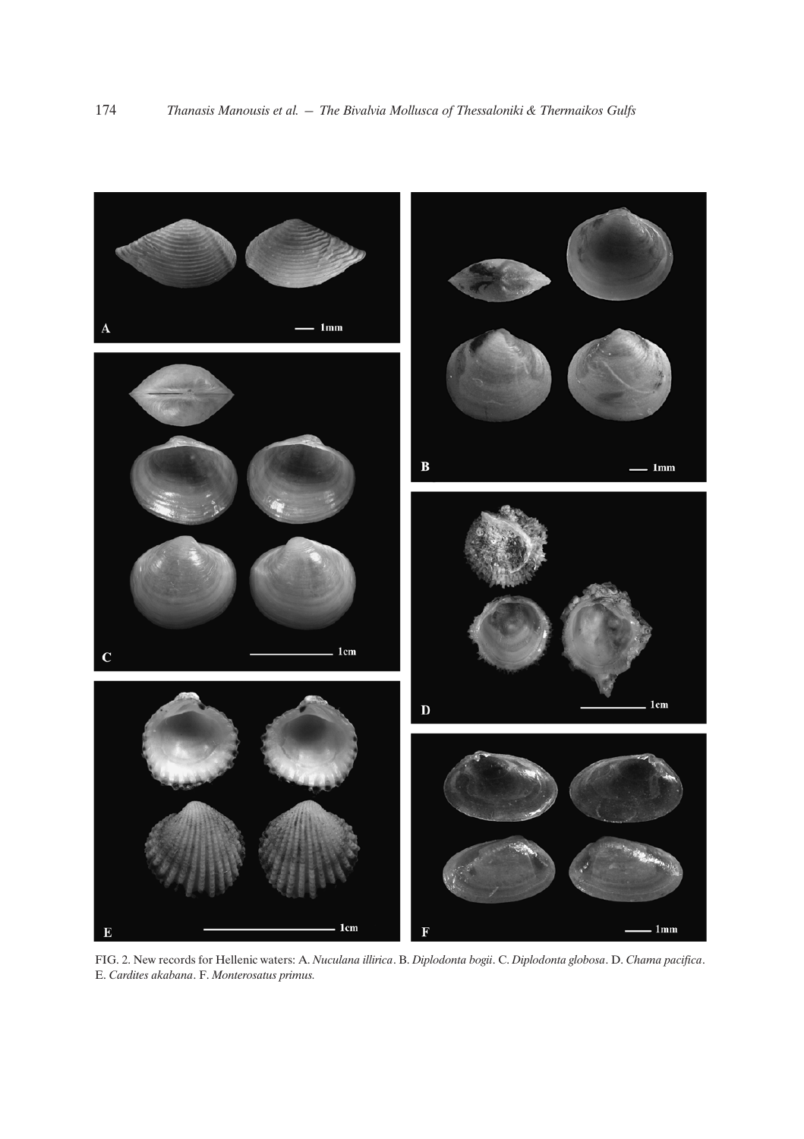

FIG. 2. New records for Hellenic waters: A. *Nuculana illirica*. B. *Diplodonta bogii*. C. *Diplodonta globosa*. D. *Chama pacifica*. E. *Cardites akabana*. F. *Monterosatus primus.*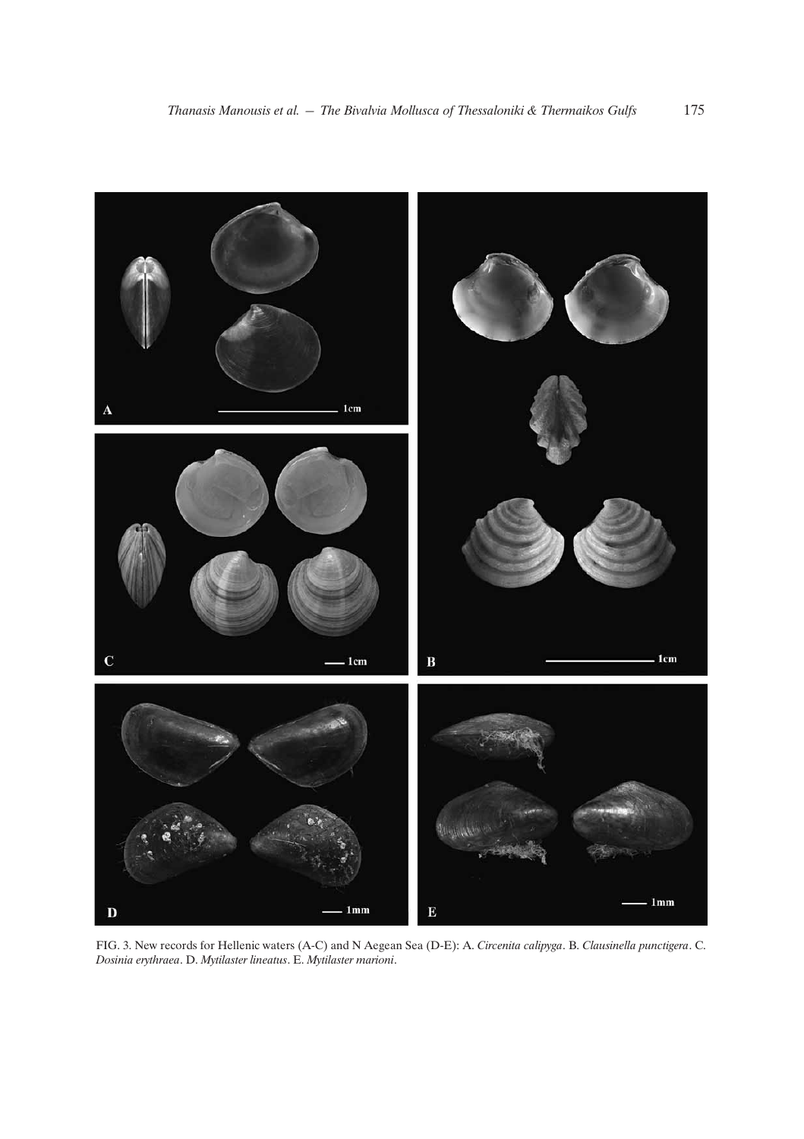

FIG. 3. New records for Hellenic waters (A-C) and N Aegean Sea (D-E): A. *Circenita calipyga*. B. *Clausinella punctigera*. C. *Dosinia erythraea*. D. *Mytilaster lineatus*. E. *Mytilaster marioni*.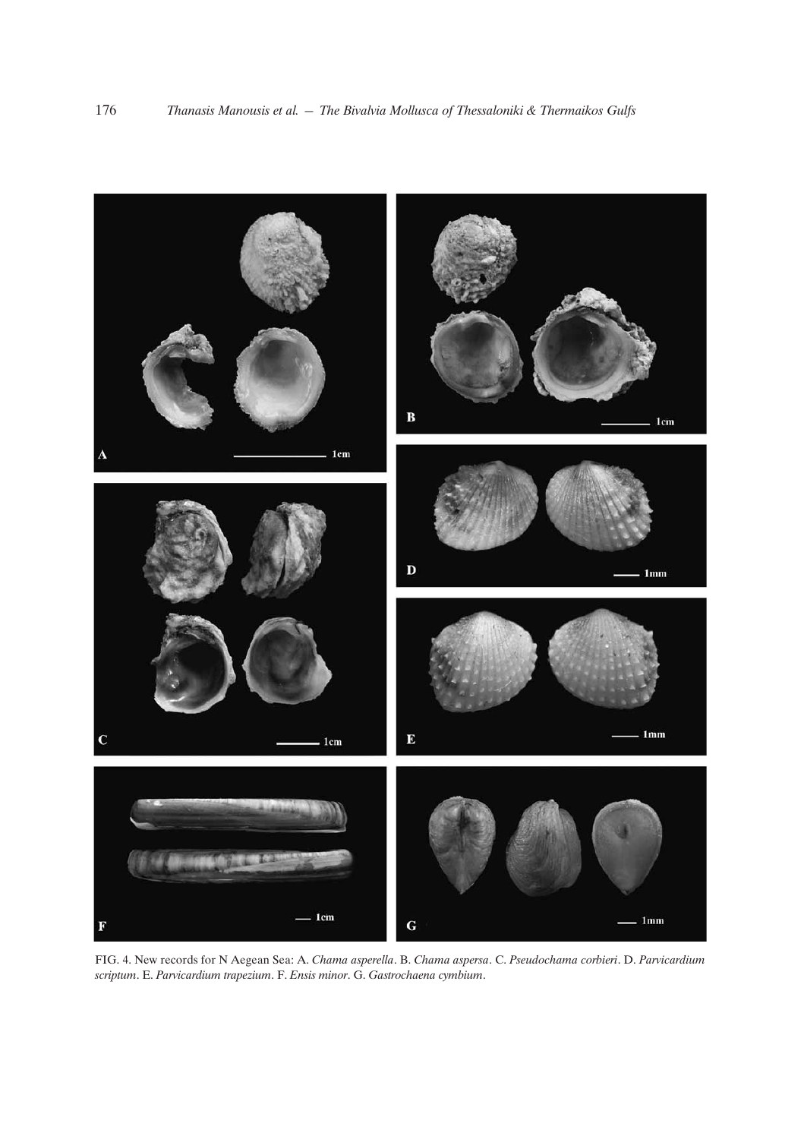

FIG. 4. New records for N Aegean Sea: A. *Chama asperella*. B. *Chama aspersa*. C. *Pseudochama corbieri*. D. *Parvicardium scriptum*. E. *Parvicardium trapezium*. F. *Ensis minor*. G. *Gastrochaena cymbium*.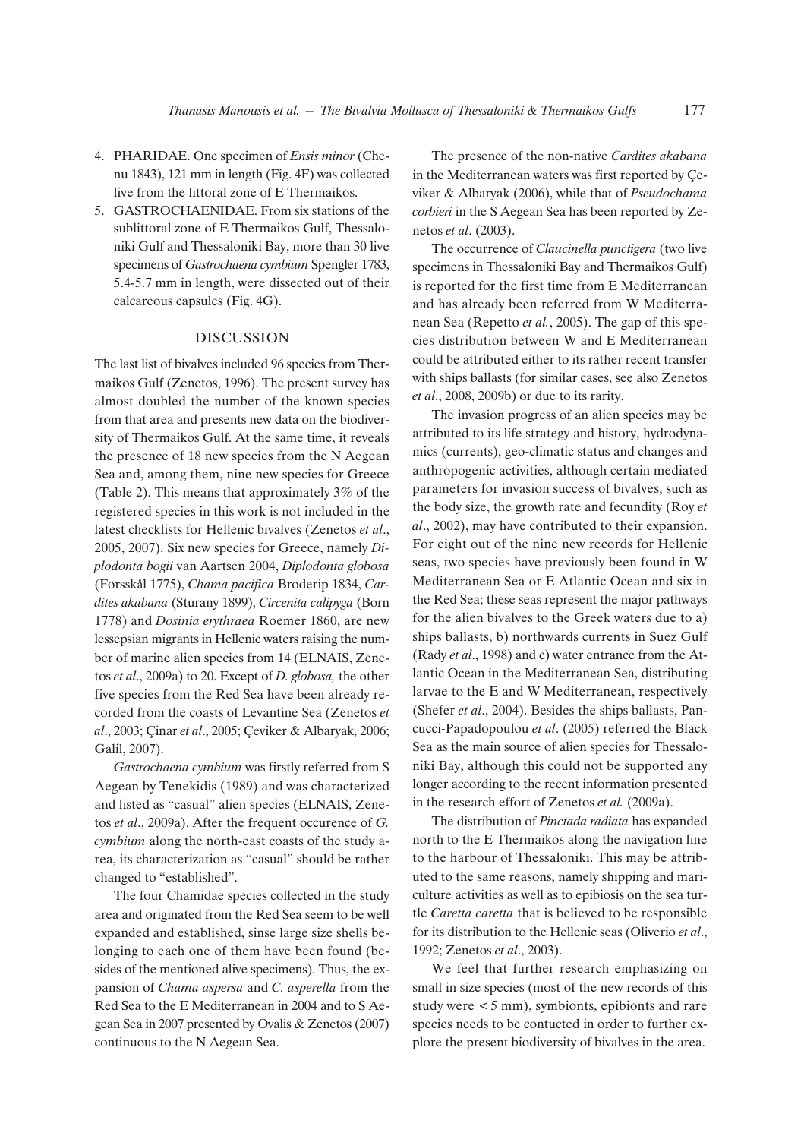- 4. PHARIDAE. One specimen of *Ensis minor* (Chenu 1843), 121 mm in length (Fig. 4F) was collected live from the littoral zone of E Thermaikos.
- 5. GASTROCHAENIDAE. From six stations of the sublittoral zone of E Thermaikos Gulf, Thessaloniki Gulf and Thessaloniki Bay, more than 30 live specimens of *Gastrochaena cymbium* Spengler 1783, 5.4-5.7 mm in length, were dissected out of their calcareous capsules (Fig. 4G).

## DISCUSSION

The last list of bivalves included 96 species from Thermaikos Gulf (Zenetos, 1996). The present survey has almost doubled the number of the known species from that area and presents new data on the biodiversity of Thermaikos Gulf. At the same time, it reveals the presence of 18 new species from the N Aegean Sea and, among them, nine new species for Greece (Table 2). This means that approximately 3% of the registered species in this work is not included in the latest checklists for Hellenic bivalves (Zenetos *et al*., 2005, 2007). Six new species for Greece, namely *Diplodonta bogii* van Aartsen 2004, *Diplodonta globosa* (Forsskål 1775), *Chama pacifica* Broderip 1834, *Cardites akabana* (Sturany 1899), *Circenita calipyga* (Born 1778) and *Dosinia erythraea* Roemer 1860, are new lessepsian migrants in Hellenic waters raising the number of marine alien species from 14 (ELNAIS, Zenetos *et al*., 2009a) to 20. Except of *D. globosa,* the other five species from the Red Sea have been already recorded from the coasts of Levantine Sea (Zenetos *et al.*, 2003; Cinar *et al.*, 2005; Ceviker & Albaryak, 2006; Galil, 2007).

*Gastrochaena cymbium* was firstly referred from S Aegean by Tenekidis (1989) and was characterized and listed as "casual" alien species (ELNAIS, Zenetos *et al*., 2009a). After the frequent occurence of *G. cymbium* along the north-east coasts of the study area, its characterization as "casual" should be rather changed to "established".

The four Chamidae species collected in the study area and originated from the Red Sea seem to be well expanded and established, sinse large size shells belonging to each one of them have been found (besides of the mentioned alive specimens). Thus, the expansion of *Chama aspersa* and *C. asperella* from the Red Sea to the E Mediterranean in 2004 and to S Aegean Sea in 2007 presented by Ovalis & Zenetos (2007) continuous to the N Aegean Sea.

The presence of the non-native *Cardites akabana* in the Mediterranean waters was first reported by Ceviker & Albaryak (2006), while that of *Pseudochama corbieri* in the S Aegean Sea has been reported by Zenetos *et al*. (2003).

The occurrence of *Claucinella punctigera* (two live specimens in Thessaloniki Bay and Thermaikos Gulf) is reported for the first time from E Mediterranean and has already been referred from W Mediterranean Sea (Repetto *et al.*, 2005). The gap of this species distribution between W and E Mediterranean could be attributed either to its rather recent transfer with ships ballasts (for similar cases, see also Zenetos *et al*., 2008, 2009b) or due to its rarity.

The invasion progress of an alien species may be attributed to its life strategy and history, hydrodynamics (currents), geo-climatic status and changes and anthropogenic activities, although certain mediated parameters for invasion success of bivalves, such as the body size, the growth rate and fecundity (Roy *et al*., 2002), may have contributed to their expansion. For eight out of the nine new records for Hellenic seas, two species have previously been found in W Mediterranean Sea or E Atlantic Ocean and six in the Red Sea; these seas represent the major pathways for the alien bivalves to the Greek waters due to a) ships ballasts, b) northwards currents in Suez Gulf (Rady *et al*., 1998) and c) water entrance from the Atlantic Ocean in the Mediterranean Sea, distributing larvae to the E and W Mediterranean, respectively (Shefer *et al*., 2004). Besides the ships ballasts, Pancucci-Papadopoulou *et al*. (2005) referred the Black Sea as the main source of alien species for Thessaloniki Bay, although this could not be supported any longer according to the recent information presented in the research effort of Zenetos *et al.* (2009a).

The distribution of *Pinctada radiata* has expanded north to the E Thermaikos along the navigation line to the harbour of Thessaloniki. This may be attributed to the same reasons, namely shipping and mariculture activities as well as to epibiosis on the sea turtle *Caretta caretta* that is believed to be responsible for its distribution to the Hellenic seas (Oliverio *et al*., 1992; Zenetos *et al*., 2003).

We feel that further research emphasizing on small in size species (most of the new records of this study were  $\lt 5$  mm), symbionts, epibionts and rare species needs to be contucted in order to further explore the present biodiversity of bivalves in the area.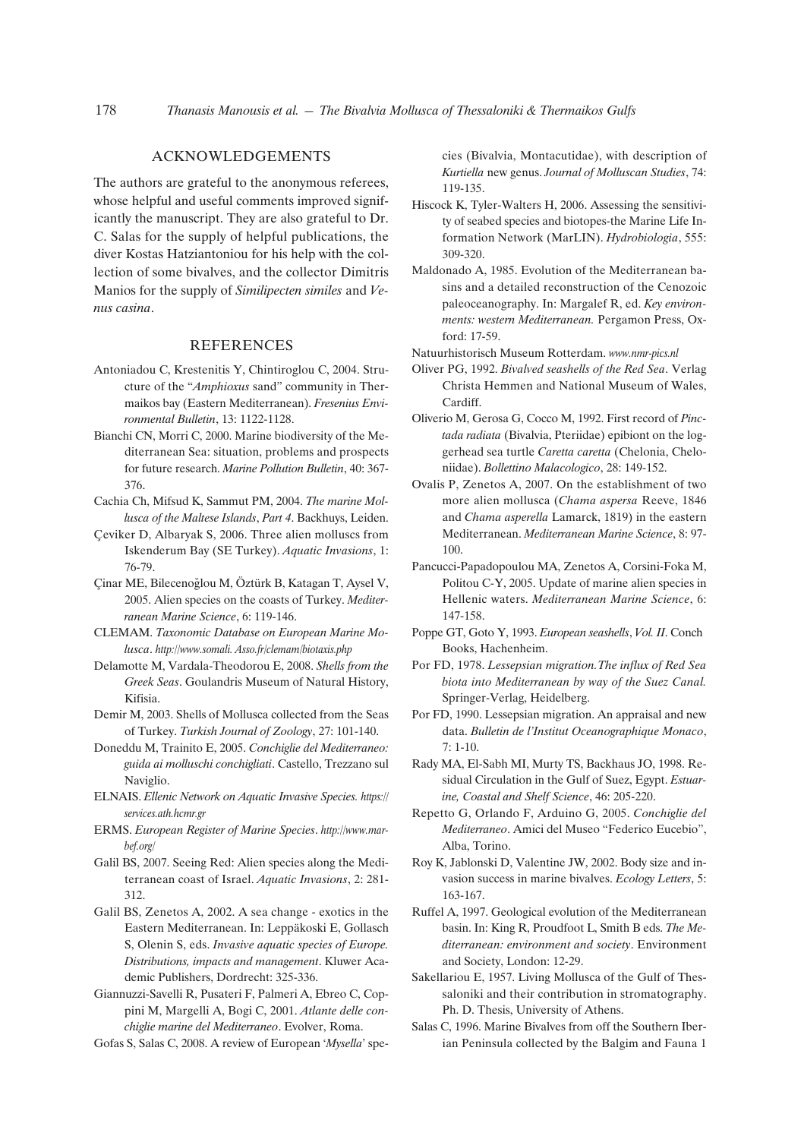## ACKNOWLEDGEMENTS

The authors are grateful to the anonymous referees, whose helpful and useful comments improved significantly the manuscript. They are also grateful to Dr. C. Salas for the supply of helpful publications, the diver Kostas Hatziantoniou for his help with the collection of some bivalves, and the collector Dimitris Manios for the supply of *Similipecten similes* and *Venus casina*.

#### REFERENCES

- Antoniadou C, Krestenitis Y, Chintiroglou C, 2004. Structure of the "*Amphioxus* sand" community in Thermaikos bay (Eastern Mediterranean). *Fresenius Environmental Bulletin*, 13: 1122-1128.
- Bianchi CN, Morri C, 2000. Marine biodiversity of the Mediterranean Sea: situation, problems and prospects for future research. *Marine Pollution Bulletin*, 40: 367- 376.
- Cachia Ch, Mifsud K, Sammut PM, 2004. *The marine Mollusca of the Maltese Islands*, *Part 4*. Backhuys, Leiden.
- Çeviker D, Albaryak S, 2006. Three alien molluscs from Iskenderum Bay (SE Turkey). *Aquatic Invasions*, 1: 76-79.
- Çinar ME, Bilecenoğlou M, Öztürk B, Katagan T, Aysel V, 2005. Alien species on the coasts of Turkey. *Mediterranean Marine Science*, 6: 119-146.
- CLEMAM. *Taxonomic Database on European Marine Molusca*. *http://www.somali. Asso.fr/clemam/biotaxis.php*
- Delamotte M, Vardala-Theodorou E, 2008. *Shells from the Greek Seas*. Goulandris Museum of Natural History, Kifisia.
- Demir M, 2003. Shells of Mollusca collected from the Seas of Turkey. *Turkish Journal of Zoology*, 27: 101-140.
- Doneddu M, Trainito E, 2005. *Conchiglie del Mediterraneo: guida ai molluschi conchigliati*. Castello, Trezzano sul Naviglio.
- ELNAIS. *Ellenic Network on Aquatic Invasive Species. https:// services.ath.hcmr.gr*
- ERMS. *European Register of Marine Species*. *http://www.marbef.org/*
- Galil BS, 2007. Seeing Red: Alien species along the Mediterranean coast of Israel. *Aquatic Invasions*, 2: 281- 312.
- Galil BS, Zenetos A, 2002. A sea change exotics in the Eastern Mediterranean. In: Leppäkoski E, Gollasch S, Olenin S, eds. *Invasive aquatic species of Europe. Distributions, impacts and management*. Kluwer Academic Publishers, Dordrecht: 325-336.
- Giannuzzi-Savelli R, Pusateri F, Palmeri A, Ebreo C, Coppini M, Margelli A, Bogi C, 2001. *Atlante delle conchiglie marine del Mediterraneo*. Evolver, Roma.

Gofas S, Salas C, 2008. A review of European '*Mysella*' spe-

cies (Bivalvia, Montacutidae), with description of *Kurtiella* new genus. *Journal of Molluscan Studies*, 74: 119-135.

- Hiscock K, Tyler-Walters H, 2006. Assessing the sensitivity of seabed species and biotopes-the Marine Life Information Network (MarLIN). *Hydrobiologia*, 555: 309-320.
- Maldonado A, 1985. Evolution of the Mediterranean basins and a detailed reconstruction of the Cenozoic paleoceanography. In: Margalef R, ed. *Key environments: western Mediterranean.* Pergamon Press, Oxford: 17-59.
- Natuurhistorisch Museum Rotterdam. *www.nmr-pics.nl*
- Oliver PG, 1992. *Bivalved seashells of the Red Sea*. Verlag Christa Hemmen and National Museum of Wales, Cardiff.
- Oliverio M, Gerosa G, Cocco M, 1992. First record of *Pinctada radiata* (Bivalvia, Pteriidae) epibiont on the loggerhead sea turtle *Caretta caretta* (Chelonia, Cheloniidae). *Bollettino Malacologico*, 28: 149-152.
- Ovalis P, Zenetos A, 2007. On the establishment of two more alien mollusca (*Chama aspersa* Reeve, 1846 and *Chama asperella* Lamarck, 1819) in the eastern Mediterranean. *Mediterranean Marine Science*, 8: 97- 100.
- Pancucci-Papadopoulou MA, Zenetos A, Corsini-Foka M, Politou C-Y, 2005. Update of marine alien species in Hellenic waters. *Mediterranean Marine Science*, 6: 147-158.
- Poppe GT, Goto Y, 1993. *European seashells*, *Vol. II*. Conch Books, Hachenheim.
- Por FD, 1978. *Lessepsian migration.The influx of Red Sea biota into Mediterranean by way of the Suez Canal.* Springer-Verlag, Heidelberg.
- Por FD, 1990. Lessepsian migration. An appraisal and new data. *Bulletin de l'Institut Oceanographique Monaco*, 7: 1-10.
- Rady MA, El-Sabh MI, Murty TS, Backhaus JO, 1998. Residual Circulation in the Gulf of Suez, Egypt. *Estuarine, Coastal and Shelf Science*, 46: 205-220.
- Repetto G, Orlando F, Arduino G, 2005. *Conchiglie del Mediterraneo*. Amici del Museo "Federico Eucebio", Alba, Torino.
- Roy K, Jablonski D, Valentine JW, 2002. Body size and invasion success in marine bivalves. *Ecology Letters*, 5: 163-167.
- Ruffel A, 1997. Geological evolution of the Mediterranean basin. In: King R, Proudfoot L, Smith B eds. *The Mediterranean: environment and society*. Environment and Society, London: 12-29.
- Sakellariou E, 1957. Living Mollusca of the Gulf of Thessaloniki and their contribution in stromatography. Ph. D. Thesis, University of Athens.
- Salas C, 1996. Marine Bivalves from off the Southern Iberian Peninsula collected by the Balgim and Fauna 1